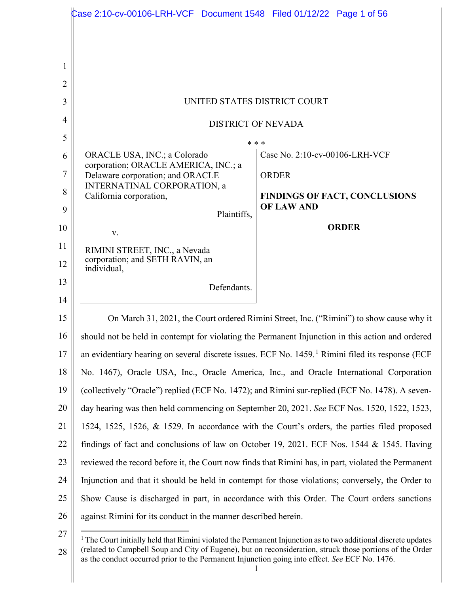|                | Case 2:10-cv-00106-LRH-VCF Document 1548   Filed 01/12/22   Page 1 of 56                         |                                                                                                              |
|----------------|--------------------------------------------------------------------------------------------------|--------------------------------------------------------------------------------------------------------------|
|                |                                                                                                  |                                                                                                              |
| 1              |                                                                                                  |                                                                                                              |
| $\overline{2}$ |                                                                                                  |                                                                                                              |
| 3              | UNITED STATES DISTRICT COURT                                                                     |                                                                                                              |
| 4              | <b>DISTRICT OF NEVADA</b>                                                                        |                                                                                                              |
| 5              | * * *                                                                                            |                                                                                                              |
| 6              | ORACLE USA, INC.; a Colorado                                                                     | Case No. 2:10-cv-00106-LRH-VCF                                                                               |
| 7              | corporation; ORACLE AMERICA, INC.; a<br>Delaware corporation; and ORACLE                         | <b>ORDER</b>                                                                                                 |
| 8              | INTERNATINAL CORPORATION, a                                                                      |                                                                                                              |
| 9              | California corporation,                                                                          | <b>FINDINGS OF FACT, CONCLUSIONS</b><br><b>OF LAW AND</b>                                                    |
| 10             | Plaintiffs,                                                                                      | <b>ORDER</b>                                                                                                 |
| 11             | V.                                                                                               |                                                                                                              |
| 12             | RIMINI STREET, INC., a Nevada<br>corporation; and SETH RAVIN, an<br>individual,                  |                                                                                                              |
| 13<br>14       | Defendants.                                                                                      |                                                                                                              |
| 15             |                                                                                                  | On March 31, 2021, the Court ordered Rimini Street, Inc. ("Rimini") to show cause why it                     |
| 16             |                                                                                                  | should not be held in contempt for violating the Permanent Injunction in this action and ordered             |
| 17             |                                                                                                  |                                                                                                              |
|                |                                                                                                  | an evidentiary hearing on several discrete issues. ECF No. 1459. <sup>1</sup> Rimini filed its response (ECF |
| 18             | No. 1467), Oracle USA, Inc., Oracle America, Inc., and Oracle International Corporation          |                                                                                                              |
| 19             |                                                                                                  | (collectively "Oracle") replied (ECF No. 1472); and Rimini sur-replied (ECF No. 1478). A seven-              |
| 20             |                                                                                                  | day hearing was then held commencing on September 20, 2021. See ECF Nos. 1520, 1522, 1523,                   |
| 21             |                                                                                                  | 1524, 1525, 1526, & 1529. In accordance with the Court's orders, the parties filed proposed                  |
| 22             | findings of fact and conclusions of law on October 19, 2021. ECF Nos. 1544 & 1545. Having        |                                                                                                              |
| 23             |                                                                                                  | reviewed the record before it, the Court now finds that Rimini has, in part, violated the Permanent          |
| 24             | Injunction and that it should be held in contempt for those violations; conversely, the Order to |                                                                                                              |
| 25             |                                                                                                  | Show Cause is discharged in part, in accordance with this Order. The Court orders sanctions                  |
| 26             | against Rimini for its conduct in the manner described herein.                                   |                                                                                                              |
| $\sim$         |                                                                                                  |                                                                                                              |

<sup>27</sup> 28  $1$  The Court initially held that Rimini violated the Permanent Injunction as to two additional discrete updates (related to Campbell Soup and City of Eugene), but on reconsideration, struck those portions of the Order as the conduct occurred prior to the Permanent Injunction going into effect. *See* ECF No. 1476.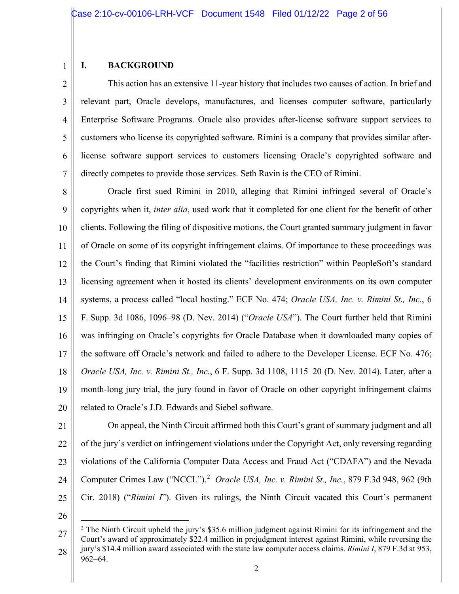#### 1 **I. BACKGROUND**

2 3 4 5 6 7 This action has an extensive 11-year history that includes two causes of action. In brief and relevant part, Oracle develops, manufactures, and licenses computer software, particularly Enterprise Software Programs. Oracle also provides after-license software support services to customers who license its copyrighted software. Rimini is a company that provides similar afterlicense software support services to customers licensing Oracle's copyrighted software and directly competes to provide those services. Seth Ravin is the CEO of Rimini.

8 9 10 11 12 13 14 15 16 17 18 19 20 Oracle first sued Rimini in 2010, alleging that Rimini infringed several of Oracle's copyrights when it, *inter alia*, used work that it completed for one client for the benefit of other clients. Following the filing of dispositive motions, the Court granted summary judgment in favor of Oracle on some of its copyright infringement claims. Of importance to these proceedings was the Court's finding that Rimini violated the "facilities restriction" within PeopleSoft's standard licensing agreement when it hosted its clients' development environments on its own computer systems, a process called "local hosting." ECF No. 474; *Oracle USA, Inc. v. Rimini St., Inc.*, 6 F. Supp. 3d 1086, 1096–98 (D. Nev. 2014) ("*Oracle USA*"). The Court further held that Rimini was infringing on Oracle's copyrights for Oracle Database when it downloaded many copies of the software off Oracle's network and failed to adhere to the Developer License. ECF No. 476; *Oracle USA, Inc. v. Rimini St., Inc.*, 6 F. Supp. 3d 1108, 1115–20 (D. Nev. 2014). Later, after a month-long jury trial, the jury found in favor of Oracle on other copyright infringement claims related to Oracle's J.D. Edwards and Siebel software.

21 22

23 24 25 On appeal, the Ninth Circuit affirmed both this Court's grant of summary judgment and all of the jury's verdict on infringement violations under the Copyright Act, only reversing regarding violations of the California Computer Data Access and Fraud Act ("CDAFA") and the Nevada Computer Crimes Law ("NCCL").<sup>2</sup> *Oracle USA, Inc. v. Rimini St., Inc.*, 879 F.3d 948, 962 (9th Cir. 2018) ("*Rimini I*"). Given its rulings, the Ninth Circuit vacated this Court's permanent

<sup>27</sup> 28 <sup>2</sup> The Ninth Circuit upheld the jury's \$35.6 million judgment against Rimini for its infringement and the Court's award of approximately \$22.4 million in prejudgment interest against Rimini, while reversing the jury's \$14.4 million award associated with the state law computer access claims. *Rimini I*, 879 F.3d at 953, 962–64.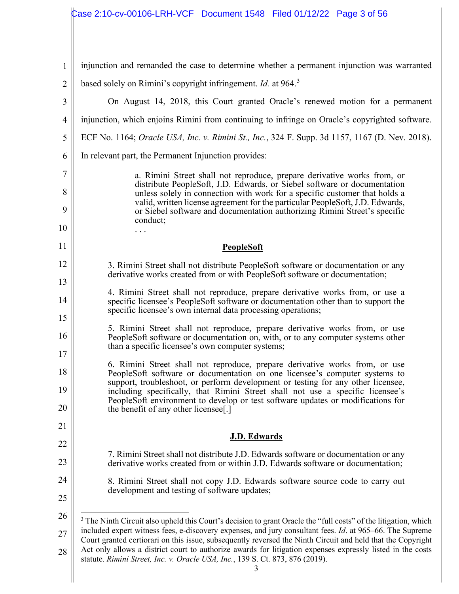#### 1 2 3 4 5 6 7 8 9 10 11 12 13 14 15 16 17 18 19 20 21 22 23 24 25 26 27 28 injunction and remanded the case to determine whether a permanent injunction was warranted based solely on Rimini's copyright infringement. *Id.* at 964.<sup>3</sup> On August 14, 2018, this Court granted Oracle's renewed motion for a permanent injunction, which enjoins Rimini from continuing to infringe on Oracle's copyrighted software. ECF No. 1164; *Oracle USA, Inc. v. Rimini St., Inc.*, 324 F. Supp. 3d 1157, 1167 (D. Nev. 2018). In relevant part, the Permanent Injunction provides: a. Rimini Street shall not reproduce, prepare derivative works from, or distribute PeopleSoft, J.D. Edwards, or Siebel software or documentation unless solely in connection with work for a specific customer that holds a valid, written license agreement for the particular PeopleSoft, J.D. Edwards, or Siebel software and documentation authorizing Rimini Street's specific conduct; . . . **PeopleSoft** 3. Rimini Street shall not distribute PeopleSoft software or documentation or any derivative works created from or with PeopleSoft software or documentation; 4. Rimini Street shall not reproduce, prepare derivative works from, or use a specific licensee's PeopleSoft software or documentation other than to support the specific licensee's own internal data processing operations; 5. Rimini Street shall not reproduce, prepare derivative works from, or use PeopleSoft software or documentation on, with, or to any computer systems other than a specific licensee's own computer systems; 6. Rimini Street shall not reproduce, prepare derivative works from, or use PeopleSoft software or documentation on one licensee's computer systems to support, troubleshoot, or perform development or testing for any other licensee, including specifically, that Rimini Street shall not use a specific licensee's PeopleSoft environment to develop or test software updates or modifications for the benefit of any other licensee[.] **J.D. Edwards** 7. Rimini Street shall not distribute J.D. Edwards software or documentation or any derivative works created from or within J.D. Edwards software or documentation; 8. Rimini Street shall not copy J.D. Edwards software source code to carry out development and testing of software updates; <sup>3</sup> The Ninth Circuit also upheld this Court's decision to grant Oracle the "full costs" of the litigation, which included expert witness fees, e-discovery expenses, and jury consultant fees. *Id*. at 965–66. The Supreme Court granted certiorari on this issue, subsequently reversed the Ninth Circuit and held that the Copyright Act only allows a district court to authorize awards for litigation expenses expressly listed in the costs statute. *Rimini Street, Inc. v. Oracle USA, Inc.*, 139 S. Ct. 873, 876 (2019).

Case 2:10-cv-00106-LRH-VCF Document 1548 Filed 01/12/22 Page 3 of 56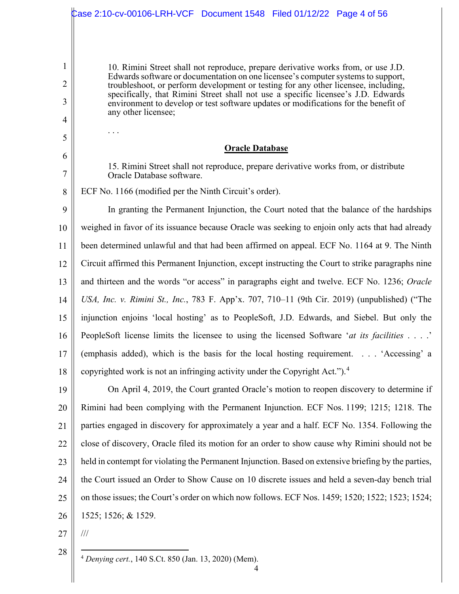|                | Case 2:10-cv-00106-LRH-VCF Document 1548    Filed 01/12/22    Page 4 of 56                                                                                               |
|----------------|--------------------------------------------------------------------------------------------------------------------------------------------------------------------------|
|                |                                                                                                                                                                          |
|                |                                                                                                                                                                          |
| 1              | 10. Rimini Street shall not reproduce, prepare derivative works from, or use J.D.                                                                                        |
| $\overline{2}$ | Edwards software or documentation on one licensee's computer systems to support,<br>troubleshoot, or perform development or testing for any other licensee, including,   |
| 3              | specifically, that Rimini Street shall not use a specific licensee's J.D. Edwards<br>environment to develop or test software updates or modifications for the benefit of |
| 4              | any other licensee;                                                                                                                                                      |
| 5              |                                                                                                                                                                          |
| 6              | <b>Oracle Database</b>                                                                                                                                                   |
| 7              | 15. Rimini Street shall not reproduce, prepare derivative works from, or distribute<br>Oracle Database software.                                                         |
| 8              | ECF No. 1166 (modified per the Ninth Circuit's order).                                                                                                                   |
| 9              | In granting the Permanent Injunction, the Court noted that the balance of the hardships                                                                                  |
| 10             | weighed in favor of its issuance because Oracle was seeking to enjoin only acts that had already                                                                         |
| 11             | been determined unlawful and that had been affirmed on appeal. ECF No. 1164 at 9. The Ninth                                                                              |
| 12             | Circuit affirmed this Permanent Injunction, except instructing the Court to strike paragraphs nine                                                                       |
| 13             | and thirteen and the words "or access" in paragraphs eight and twelve. ECF No. 1236; Oracle                                                                              |
| 14             | USA, Inc. v. Rimini St., Inc., 783 F. App'x. 707, 710-11 (9th Cir. 2019) (unpublished) ("The                                                                             |
| 15             | injunction enjoins 'local hosting' as to PeopleSoft, J.D. Edwards, and Siebel. But only the                                                                              |
| 16             | PeopleSoft license limits the licensee to using the licensed Software 'at its facilities'                                                                                |
| 17             | (emphasis added), which is the basis for the local hosting requirement. 'Accessing' a                                                                                    |
| 18             | copyrighted work is not an infringing activity under the Copyright Act."). <sup>4</sup>                                                                                  |
| 19             | On April 4, 2019, the Court granted Oracle's motion to reopen discovery to determine if                                                                                  |
| 20             | Rimini had been complying with the Permanent Injunction. ECF Nos. 1199; 1215; 1218. The                                                                                  |
| 21             | parties engaged in discovery for approximately a year and a half. ECF No. 1354. Following the                                                                            |
| 22             | close of discovery, Oracle filed its motion for an order to show cause why Rimini should not be                                                                          |
| 23             | held in contempt for violating the Permanent Injunction. Based on extensive briefing by the parties,                                                                     |
| 24             | the Court issued an Order to Show Cause on 10 discrete issues and held a seven-day bench trial                                                                           |
| 25             | on those issues; the Court's order on which now follows. ECF Nos. 1459; 1520; 1522; 1523; 1524;                                                                          |
| 26             | 1525; 1526; & 1529.                                                                                                                                                      |
| 27             | $\frac{1}{1}$                                                                                                                                                            |
| 28             |                                                                                                                                                                          |

<sup>4</sup> *Denying cert.*, 140 S.Ct. 850 (Jan. 13, 2020) (Mem).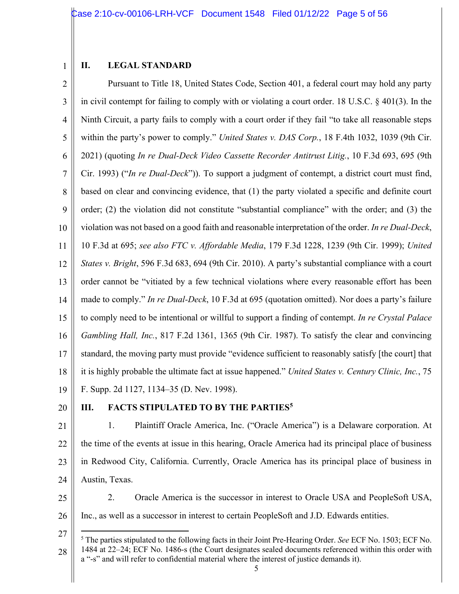### **II. LEGAL STANDARD**

2 3 4 5 6 7 8 9 10 11 12 13 14 15 16 17 18 19 Pursuant to Title 18, United States Code, Section 401, a federal court may hold any party in civil contempt for failing to comply with or violating a court order. 18 U.S.C. § 401(3). In the Ninth Circuit, a party fails to comply with a court order if they fail "to take all reasonable steps within the party's power to comply." *United States v. DAS Corp.*, 18 F.4th 1032, 1039 (9th Cir. 2021) (quoting *In re Dual-Deck Video Cassette Recorder Antitrust Litig.*, 10 F.3d 693, 695 (9th Cir. 1993) ("*In re Dual-Deck*")). To support a judgment of contempt, a district court must find, based on clear and convincing evidence, that (1) the party violated a specific and definite court order; (2) the violation did not constitute "substantial compliance" with the order; and (3) the violation was not based on a good faith and reasonable interpretation of the order. *In re Dual-Deck*, 10 F.3d at 695; *see also FTC v. Affordable Media*, 179 F.3d 1228, 1239 (9th Cir. 1999); *United States v. Bright*, 596 F.3d 683, 694 (9th Cir. 2010). A party's substantial compliance with a court order cannot be "vitiated by a few technical violations where every reasonable effort has been made to comply." *In re Dual-Deck*, 10 F.3d at 695 (quotation omitted). Nor does a party's failure to comply need to be intentional or willful to support a finding of contempt. *In re Crystal Palace Gambling Hall, Inc.*, 817 F.2d 1361, 1365 (9th Cir. 1987). To satisfy the clear and convincing standard, the moving party must provide "evidence sufficient to reasonably satisfy [the court] that it is highly probable the ultimate fact at issue happened." *United States v. Century Clinic, Inc.*, 75 F. Supp. 2d 1127, 1134–35 (D. Nev. 1998).

20

## **III. FACTS STIPULATED TO BY THE PARTIES5**

- 21 22 23 24 1. Plaintiff Oracle America, Inc. ("Oracle America") is a Delaware corporation. At the time of the events at issue in this hearing, Oracle America had its principal place of business in Redwood City, California. Currently, Oracle America has its principal place of business in Austin, Texas.
- 25 26 2. Oracle America is the successor in interest to Oracle USA and PeopleSoft USA, Inc., as well as a successor in interest to certain PeopleSoft and J.D. Edwards entities.

<sup>27</sup> 28 <sup>5</sup> The parties stipulated to the following facts in their Joint Pre-Hearing Order. *See* ECF No. 1503; ECF No. 1484 at 22–24; ECF No. 1486-s (the Court designates sealed documents referenced within this order with a "-s" and will refer to confidential material where the interest of justice demands it).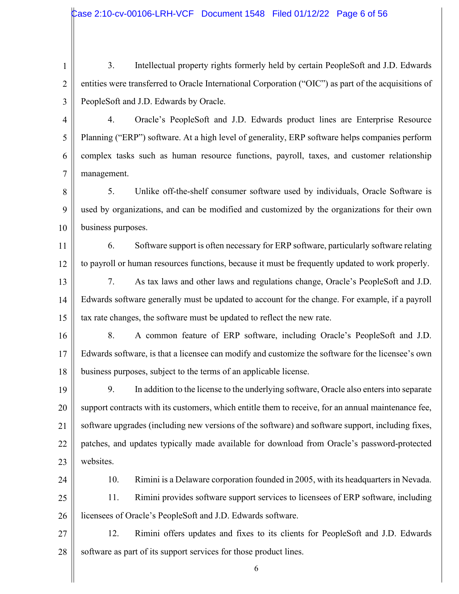1 2 3 3. Intellectual property rights formerly held by certain PeopleSoft and J.D. Edwards entities were transferred to Oracle International Corporation ("OIC") as part of the acquisitions of PeopleSoft and J.D. Edwards by Oracle.

4 5 6 7 4. Oracle's PeopleSoft and J.D. Edwards product lines are Enterprise Resource Planning ("ERP") software. At a high level of generality, ERP software helps companies perform complex tasks such as human resource functions, payroll, taxes, and customer relationship management.

8 9 10 5. Unlike off-the-shelf consumer software used by individuals, Oracle Software is used by organizations, and can be modified and customized by the organizations for their own business purposes.

11 12 6. Software support is often necessary for ERP software, particularly software relating to payroll or human resources functions, because it must be frequently updated to work properly.

13 14 15 7. As tax laws and other laws and regulations change, Oracle's PeopleSoft and J.D. Edwards software generally must be updated to account for the change. For example, if a payroll tax rate changes, the software must be updated to reflect the new rate.

16 17 18 8. A common feature of ERP software, including Oracle's PeopleSoft and J.D. Edwards software, is that a licensee can modify and customize the software for the licensee's own business purposes, subject to the terms of an applicable license.

19 20 21 22 23 9. In addition to the license to the underlying software, Oracle also enters into separate support contracts with its customers, which entitle them to receive, for an annual maintenance fee, software upgrades (including new versions of the software) and software support, including fixes, patches, and updates typically made available for download from Oracle's password-protected websites.

24

10. Rimini is a Delaware corporation founded in 2005, with its headquarters in Nevada.

25 26 11. Rimini provides software support services to licensees of ERP software, including licensees of Oracle's PeopleSoft and J.D. Edwards software.

27 28 12. Rimini offers updates and fixes to its clients for PeopleSoft and J.D. Edwards software as part of its support services for those product lines.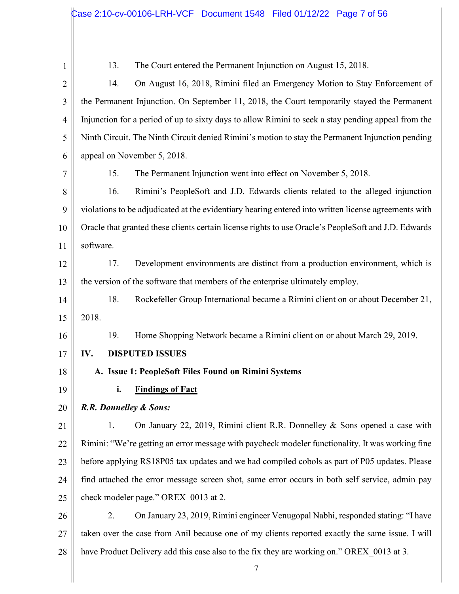13. The Court entered the Permanent Injunction on August 15, 2018.

2 3 4 5 6 14. On August 16, 2018, Rimini filed an Emergency Motion to Stay Enforcement of the Permanent Injunction. On September 11, 2018, the Court temporarily stayed the Permanent Injunction for a period of up to sixty days to allow Rimini to seek a stay pending appeal from the Ninth Circuit. The Ninth Circuit denied Rimini's motion to stay the Permanent Injunction pending appeal on November 5, 2018.

7

15. The Permanent Injunction went into effect on November 5, 2018.

8 9 10 11 16. Rimini's PeopleSoft and J.D. Edwards clients related to the alleged injunction violations to be adjudicated at the evidentiary hearing entered into written license agreements with Oracle that granted these clients certain license rights to use Oracle's PeopleSoft and J.D. Edwards software.

12 13 17. Development environments are distinct from a production environment, which is the version of the software that members of the enterprise ultimately employ.

14 15 18. Rockefeller Group International became a Rimini client on or about December 21, 2018.

19. Home Shopping Network became a Rimini client on or about March 29, 2019.

- 17 **IV. DISPUTED ISSUES**
- 18 19

16

**i. Findings of Fact** 

**A. Issue 1: PeopleSoft Files Found on Rimini Systems**

#### 20 *R.R. Donnelley & Sons:*

21 22 23 24 25 1. On January 22, 2019, Rimini client R.R. Donnelley & Sons opened a case with Rimini: "We're getting an error message with paycheck modeler functionality. It was working fine before applying RS18P05 tax updates and we had compiled cobols as part of P05 updates. Please find attached the error message screen shot, same error occurs in both self service, admin pay check modeler page." OREX\_0013 at 2.

26 27 28 2. On January 23, 2019, Rimini engineer Venugopal Nabhi, responded stating: "I have taken over the case from Anil because one of my clients reported exactly the same issue. I will have Product Delivery add this case also to the fix they are working on." OREX 0013 at 3.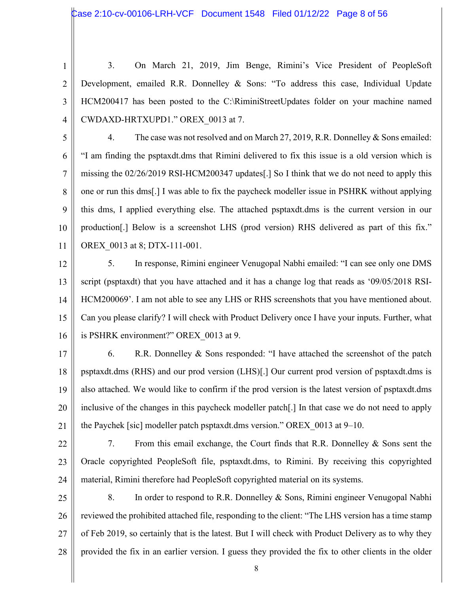3

4

3. On March 21, 2019, Jim Benge, Rimini's Vice President of PeopleSoft Development, emailed R.R. Donnelley & Sons: "To address this case, Individual Update HCM200417 has been posted to the C:\RiminiStreetUpdates folder on your machine named CWDAXD-HRTXUPD1." OREX\_0013 at 7.

5

6

7

8

9

10

4. The case was not resolved and on March 27, 2019, R.R. Donnelley & Sons emailed: "I am finding the psptaxdt.dms that Rimini delivered to fix this issue is a old version which is missing the 02/26/2019 RSI-HCM200347 updates[.] So I think that we do not need to apply this one or run this dms[.] I was able to fix the paycheck modeller issue in PSHRK without applying this dms, I applied everything else. The attached psptaxdt.dms is the current version in our production[.] Below is a screenshot LHS (prod version) RHS delivered as part of this fix." OREX\_0013 at 8; DTX-111-001.

12

11

13 14 15 16 5. In response, Rimini engineer Venugopal Nabhi emailed: "I can see only one DMS script (psptaxdt) that you have attached and it has a change log that reads as '09/05/2018 RSI-HCM200069'. I am not able to see any LHS or RHS screenshots that you have mentioned about. Can you please clarify? I will check with Product Delivery once I have your inputs. Further, what is PSHRK environment?" OREX\_0013 at 9.

17

18 19 20 21 6. R.R. Donnelley & Sons responded: "I have attached the screenshot of the patch psptaxdt.dms (RHS) and our prod version (LHS)[.] Our current prod version of psptaxdt.dms is also attached. We would like to confirm if the prod version is the latest version of psptaxdt.dms inclusive of the changes in this paycheck modeller patch[.] In that case we do not need to apply the Paychek [sic] modeller patch psptaxdt.dms version." OREX\_0013 at 9–10.

22

23

24 7. From this email exchange, the Court finds that R.R. Donnelley & Sons sent the Oracle copyrighted PeopleSoft file, psptaxdt.dms, to Rimini. By receiving this copyrighted material, Rimini therefore had PeopleSoft copyrighted material on its systems.

25 26 27 28 8. In order to respond to R.R. Donnelley & Sons, Rimini engineer Venugopal Nabhi reviewed the prohibited attached file, responding to the client: "The LHS version has a time stamp of Feb 2019, so certainly that is the latest. But I will check with Product Delivery as to why they provided the fix in an earlier version. I guess they provided the fix to other clients in the older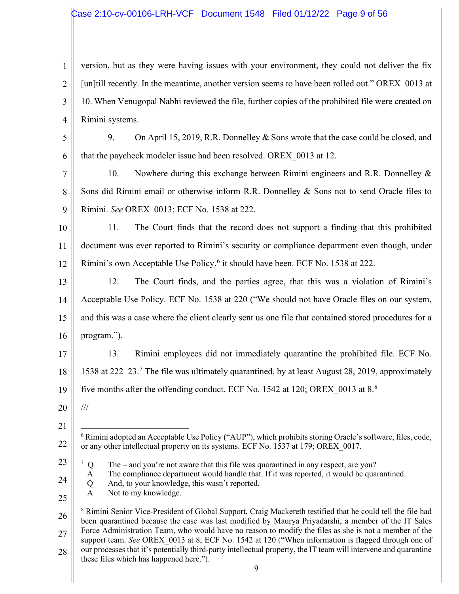# Case 2:10-cv-00106-LRH-VCF Document 1548 Filed 01/12/22 Page 9 of 56

| $\mathbf{1}$   | version, but as they were having issues with your environment, they could not deliver the fix                                                                                                                                 |  |
|----------------|-------------------------------------------------------------------------------------------------------------------------------------------------------------------------------------------------------------------------------|--|
| $\overline{2}$ | [un]till recently. In the meantime, another version seems to have been rolled out." OREX 0013 at                                                                                                                              |  |
| 3              | 10. When Venugopal Nabhi reviewed the file, further copies of the prohibited file were created on                                                                                                                             |  |
| $\overline{4}$ | Rimini systems.                                                                                                                                                                                                               |  |
| 5              | On April 15, 2019, R.R. Donnelley & Sons wrote that the case could be closed, and<br>9.                                                                                                                                       |  |
| 6              | that the paycheck modeler issue had been resolved. OREX 0013 at 12.                                                                                                                                                           |  |
| $\overline{7}$ | Nowhere during this exchange between Rimini engineers and R.R. Donnelley &<br>10.                                                                                                                                             |  |
| 8              | Sons did Rimini email or otherwise inform R.R. Donnelley & Sons not to send Oracle files to                                                                                                                                   |  |
| 9              | Rimini. See OREX 0013; ECF No. 1538 at 222.                                                                                                                                                                                   |  |
| 10             | The Court finds that the record does not support a finding that this prohibited<br>11.                                                                                                                                        |  |
| 11             | document was ever reported to Rimini's security or compliance department even though, under                                                                                                                                   |  |
| 12             | Rimini's own Acceptable Use Policy, <sup>6</sup> it should have been. ECF No. 1538 at 222.                                                                                                                                    |  |
| 13             | 12.<br>The Court finds, and the parties agree, that this was a violation of Rimini's                                                                                                                                          |  |
| 14             | Acceptable Use Policy. ECF No. 1538 at 220 ("We should not have Oracle files on our system,                                                                                                                                   |  |
| 15             | and this was a case where the client clearly sent us one file that contained stored procedures for a                                                                                                                          |  |
| 16             | program.").                                                                                                                                                                                                                   |  |
| 17             | Rimini employees did not immediately quarantine the prohibited file. ECF No.<br>13.                                                                                                                                           |  |
| 18             | 1538 at 222–23. <sup>7</sup> The file was ultimately quarantined, by at least August 28, 2019, approximately                                                                                                                  |  |
| 19             | five months after the offending conduct. ECF No. 1542 at 120; OREX 0013 at 8. <sup>8</sup>                                                                                                                                    |  |
| 20             | $\frac{1}{1}$                                                                                                                                                                                                                 |  |
| 21             |                                                                                                                                                                                                                               |  |
| 22             | $6$ Rimini adopted an Acceptable Use Policy ("AUP"), which prohibits storing Oracle's software, files, code,<br>or any other intellectual property on its systems. ECF No. 1537 at 179; OREX 0017.                            |  |
| 23             | 7Q<br>The – and you're not aware that this file was quarantined in any respect, are you?                                                                                                                                      |  |
| 24             | The compliance department would handle that. If it was reported, it would be quarantined.<br>A<br>And, to your knowledge, this wasn't reported.<br>Q                                                                          |  |
| 25             | Not to my knowledge.<br>$\mathbf{A}$                                                                                                                                                                                          |  |
| 26             | <sup>8</sup> Rimini Senior Vice-President of Global Support, Craig Mackereth testified that he could tell the file had<br>been quarantined because the case was last modified by Maurya Priyadarshi, a member of the IT Sales |  |
| 27             | Force Administration Team, who would have no reason to modify the files as she is not a member of the                                                                                                                         |  |

28 support team. *See* OREX\_0013 at 8; ECF No. 1542 at 120 ("When information is flagged through one of our processes that it's potentially third-party intellectual property, the IT team will intervene and quarantine these files which has happened here.").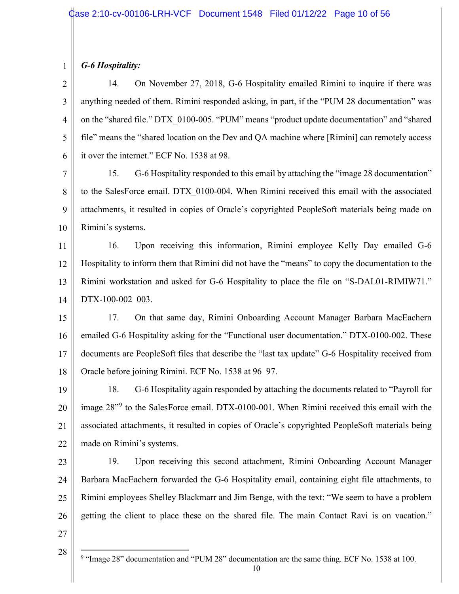# *G-6 Hospitality:*

1

2 3 4 5 6 14. On November 27, 2018, G-6 Hospitality emailed Rimini to inquire if there was anything needed of them. Rimini responded asking, in part, if the "PUM 28 documentation" was on the "shared file." DTX\_0100-005. "PUM" means "product update documentation" and "shared file" means the "shared location on the Dev and QA machine where [Rimini] can remotely access it over the internet." ECF No. 1538 at 98.

7 8 9 10 15. G-6 Hospitality responded to this email by attaching the "image 28 documentation" to the SalesForce email. DTX\_0100-004. When Rimini received this email with the associated attachments, it resulted in copies of Oracle's copyrighted PeopleSoft materials being made on Rimini's systems.

11 12 13 14 16. Upon receiving this information, Rimini employee Kelly Day emailed G-6 Hospitality to inform them that Rimini did not have the "means" to copy the documentation to the Rimini workstation and asked for G-6 Hospitality to place the file on "S-DAL01-RIMIW71." DTX-100-002–003.

15 16 17 18 17. On that same day, Rimini Onboarding Account Manager Barbara MacEachern emailed G-6 Hospitality asking for the "Functional user documentation." DTX-0100-002. These documents are PeopleSoft files that describe the "last tax update" G-6 Hospitality received from Oracle before joining Rimini. ECF No. 1538 at 96–97.

19 20 21 22 18. G-6 Hospitality again responded by attaching the documents related to "Payroll for image 28"<sup>9</sup> to the SalesForce email. DTX-0100-001. When Rimini received this email with the associated attachments, it resulted in copies of Oracle's copyrighted PeopleSoft materials being made on Rimini's systems.

23 24 25 26 19. Upon receiving this second attachment, Rimini Onboarding Account Manager Barbara MacEachern forwarded the G-6 Hospitality email, containing eight file attachments, to Rimini employees Shelley Blackmarr and Jim Benge, with the text: "We seem to have a problem getting the client to place these on the shared file. The main Contact Ravi is on vacation."

27

28

<sup>9</sup> "Image 28" documentation and "PUM 28" documentation are the same thing. ECF No. 1538 at 100.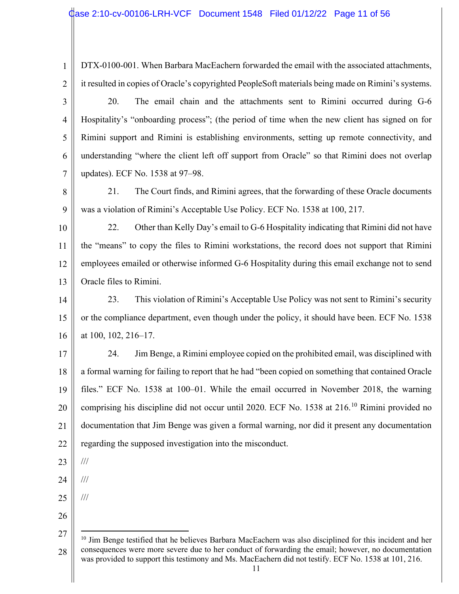DTX-0100-001. When Barbara MacEachern forwarded the email with the associated attachments, it resulted in copies of Oracle's copyrighted PeopleSoft materials being made on Rimini's systems.

3 4 5 6 7 20. The email chain and the attachments sent to Rimini occurred during G-6 Hospitality's "onboarding process"; (the period of time when the new client has signed on for Rimini support and Rimini is establishing environments, setting up remote connectivity, and understanding "where the client left off support from Oracle" so that Rimini does not overlap updates). ECF No. 1538 at 97–98.

8 9 21. The Court finds, and Rimini agrees, that the forwarding of these Oracle documents was a violation of Rimini's Acceptable Use Policy. ECF No. 1538 at 100, 217.

10 11 12 13 22. Other than Kelly Day's email to G-6 Hospitality indicating that Rimini did not have the "means" to copy the files to Rimini workstations, the record does not support that Rimini employees emailed or otherwise informed G-6 Hospitality during this email exchange not to send Oracle files to Rimini.

14 15 16 23. This violation of Rimini's Acceptable Use Policy was not sent to Rimini's security or the compliance department, even though under the policy, it should have been. ECF No. 1538 at 100, 102, 216–17.

17 18 19 20 21 22 24. Jim Benge, a Rimini employee copied on the prohibited email, was disciplined with a formal warning for failing to report that he had "been copied on something that contained Oracle files." ECF No. 1538 at 100–01. While the email occurred in November 2018, the warning comprising his discipline did not occur until 2020. ECF No. 1538 at 216.<sup>10</sup> Rimini provided no documentation that Jim Benge was given a formal warning, nor did it present any documentation regarding the supposed investigation into the misconduct.

23 ///

24 ///

///

- 25
- 26

<sup>27</sup> 28 <sup>10</sup> Jim Benge testified that he believes Barbara MacEachern was also disciplined for this incident and her consequences were more severe due to her conduct of forwarding the email; however, no documentation was provided to support this testimony and Ms. MacEachern did not testify. ECF No. 1538 at 101, 216.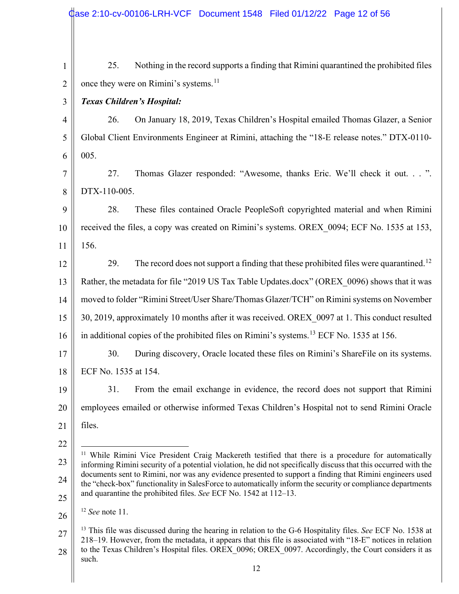|                | Case 2:10-cv-00106-LRH-VCF Document 1548 Filed 01/12/22 Page 12 of 56                                                                                                                                                                                                                                                                         |
|----------------|-----------------------------------------------------------------------------------------------------------------------------------------------------------------------------------------------------------------------------------------------------------------------------------------------------------------------------------------------|
|                |                                                                                                                                                                                                                                                                                                                                               |
| $\mathbf{1}$   | Nothing in the record supports a finding that Rimini quarantined the prohibited files<br>25.                                                                                                                                                                                                                                                  |
| $\overline{2}$ | once they were on Rimini's systems. <sup>11</sup>                                                                                                                                                                                                                                                                                             |
| 3              | <b>Texas Children's Hospital:</b>                                                                                                                                                                                                                                                                                                             |
| $\overline{4}$ | On January 18, 2019, Texas Children's Hospital emailed Thomas Glazer, a Senior<br>26.                                                                                                                                                                                                                                                         |
| 5              | Global Client Environments Engineer at Rimini, attaching the "18-E release notes." DTX-0110-                                                                                                                                                                                                                                                  |
| 6              | 005.                                                                                                                                                                                                                                                                                                                                          |
| $\overline{7}$ | Thomas Glazer responded: "Awesome, thanks Eric. We'll check it out. ".<br>27.                                                                                                                                                                                                                                                                 |
| 8              | DTX-110-005.                                                                                                                                                                                                                                                                                                                                  |
| 9              | These files contained Oracle PeopleSoft copyrighted material and when Rimini<br>28.                                                                                                                                                                                                                                                           |
| 10             | received the files, a copy was created on Rimini's systems. OREX 0094; ECF No. 1535 at 153,                                                                                                                                                                                                                                                   |
| 11             | 156.                                                                                                                                                                                                                                                                                                                                          |
| 12             | The record does not support a finding that these prohibited files were quarantined. <sup>12</sup><br>29.                                                                                                                                                                                                                                      |
| 13             | Rather, the metadata for file "2019 US Tax Table Updates.docx" (OREX_0096) shows that it was                                                                                                                                                                                                                                                  |
| 14             | moved to folder "Rimini Street/User Share/Thomas Glazer/TCH" on Rimini systems on November                                                                                                                                                                                                                                                    |
| 15             | 30, 2019, approximately 10 months after it was received. OREX 0097 at 1. This conduct resulted                                                                                                                                                                                                                                                |
| 16             | in additional copies of the prohibited files on Rimini's systems. <sup>13</sup> ECF No. 1535 at 156.                                                                                                                                                                                                                                          |
| 17             | 30.<br>During discovery, Oracle located these files on Rimini's ShareFile on its systems.                                                                                                                                                                                                                                                     |
| 18             | ECF No. 1535 at 154.                                                                                                                                                                                                                                                                                                                          |
| 19             | 31.<br>From the email exchange in evidence, the record does not support that Rimini                                                                                                                                                                                                                                                           |
| 20             | employees emailed or otherwise informed Texas Children's Hospital not to send Rimini Oracle                                                                                                                                                                                                                                                   |
| 21             | files.                                                                                                                                                                                                                                                                                                                                        |
| 22             |                                                                                                                                                                                                                                                                                                                                               |
| 23             | <sup>11</sup> While Rimini Vice President Craig Mackereth testified that there is a procedure for automatically<br>informing Rimini security of a potential violation, he did not specifically discuss that this occurred with the                                                                                                            |
| 24             | documents sent to Rimini, nor was any evidence presented to support a finding that Rimini engineers used<br>the "check-box" functionality in SalesForce to automatically inform the security or compliance departments                                                                                                                        |
| 25             | and quarantine the prohibited files. See ECF No. 1542 at 112–13.                                                                                                                                                                                                                                                                              |
| 26             | $12$ See note 11.                                                                                                                                                                                                                                                                                                                             |
| 27<br>28       | <sup>13</sup> This file was discussed during the hearing in relation to the G-6 Hospitality files. See ECF No. 1538 at<br>218–19. However, from the metadata, it appears that this file is associated with "18-E" notices in relation<br>to the Texas Children's Hospital files. OREX 0096; OREX 0097. Accordingly, the Court considers it as |
|                | such.<br>12                                                                                                                                                                                                                                                                                                                                   |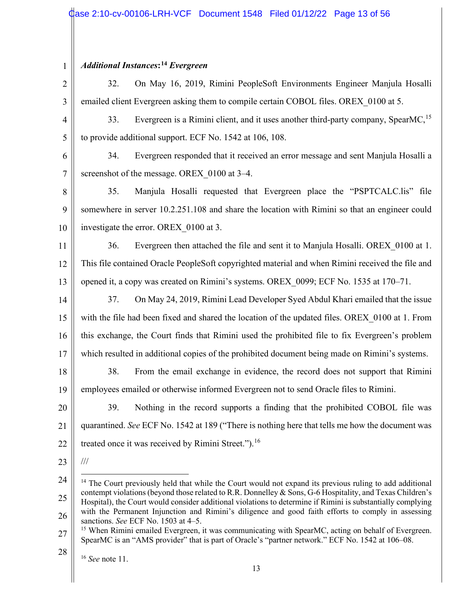| $\mathbf{1}$   | <b>Additional Instances:</b> <sup>14</sup> Evergreen                                                                                                                                                                                                                                                                                                                                                                                                                                         |
|----------------|----------------------------------------------------------------------------------------------------------------------------------------------------------------------------------------------------------------------------------------------------------------------------------------------------------------------------------------------------------------------------------------------------------------------------------------------------------------------------------------------|
| $\overline{2}$ | On May 16, 2019, Rimini PeopleSoft Environments Engineer Manjula Hosalli<br>32.                                                                                                                                                                                                                                                                                                                                                                                                              |
| 3              | emailed client Evergreen asking them to compile certain COBOL files. OREX 0100 at 5.                                                                                                                                                                                                                                                                                                                                                                                                         |
| $\overline{4}$ | Evergreen is a Rimini client, and it uses another third-party company, SpearMC, <sup>15</sup><br>33.                                                                                                                                                                                                                                                                                                                                                                                         |
| 5              | to provide additional support. ECF No. 1542 at 106, 108.                                                                                                                                                                                                                                                                                                                                                                                                                                     |
| 6              | Evergreen responded that it received an error message and sent Manjula Hosalli a<br>34.                                                                                                                                                                                                                                                                                                                                                                                                      |
| $\tau$         | screenshot of the message. OREX 0100 at 3-4.                                                                                                                                                                                                                                                                                                                                                                                                                                                 |
| 8              | 35.<br>Manjula Hosalli requested that Evergreen place the "PSPTCALC.lis" file                                                                                                                                                                                                                                                                                                                                                                                                                |
| 9              | somewhere in server 10.2.251.108 and share the location with Rimini so that an engineer could                                                                                                                                                                                                                                                                                                                                                                                                |
| 10             | investigate the error. OREX 0100 at 3.                                                                                                                                                                                                                                                                                                                                                                                                                                                       |
| 11             | Evergreen then attached the file and sent it to Manjula Hosalli. OREX 0100 at 1.<br>36.                                                                                                                                                                                                                                                                                                                                                                                                      |
| 12             | This file contained Oracle PeopleSoft copyrighted material and when Rimini received the file and                                                                                                                                                                                                                                                                                                                                                                                             |
| 13             | opened it, a copy was created on Rimini's systems. OREX 0099; ECF No. 1535 at 170–71.                                                                                                                                                                                                                                                                                                                                                                                                        |
| 14             | On May 24, 2019, Rimini Lead Developer Syed Abdul Khari emailed that the issue<br>37.                                                                                                                                                                                                                                                                                                                                                                                                        |
| 15             | with the file had been fixed and shared the location of the updated files. OREX 0100 at 1. From                                                                                                                                                                                                                                                                                                                                                                                              |
| 16             | this exchange, the Court finds that Rimini used the prohibited file to fix Evergreen's problem                                                                                                                                                                                                                                                                                                                                                                                               |
| 17             | which resulted in additional copies of the prohibited document being made on Rimini's systems.                                                                                                                                                                                                                                                                                                                                                                                               |
| 18             | From the email exchange in evidence, the record does not support that Rimini<br>38.                                                                                                                                                                                                                                                                                                                                                                                                          |
| 19             | employees emailed or otherwise informed Evergreen not to send Oracle files to Rimini.                                                                                                                                                                                                                                                                                                                                                                                                        |
| 20             | 39.<br>Nothing in the record supports a finding that the prohibited COBOL file was                                                                                                                                                                                                                                                                                                                                                                                                           |
| 21             | quarantined. See ECF No. 1542 at 189 ("There is nothing here that tells me how the document was                                                                                                                                                                                                                                                                                                                                                                                              |
| 22             | treated once it was received by Rimini Street."). <sup>16</sup>                                                                                                                                                                                                                                                                                                                                                                                                                              |
| 23             | $\frac{1}{1}$                                                                                                                                                                                                                                                                                                                                                                                                                                                                                |
| 24<br>25<br>26 | <sup>14</sup> The Court previously held that while the Court would not expand its previous ruling to add additional<br>contempt violations (beyond those related to R.R. Donnelley & Sons, G-6 Hospitality, and Texas Children's<br>Hospital), the Court would consider additional violations to determine if Rimini is substantially complying<br>with the Permanent Injunction and Rimini's diligence and good faith efforts to comply in assessing<br>sanctions. See ECF No. 1503 at 4–5. |

27 <sup>15</sup> When Rimini emailed Evergreen, it was communicating with SpearMC, acting on behalf of Evergreen. SpearMC is an "AMS provider" that is part of Oracle's "partner network." ECF No. 1542 at 106–08.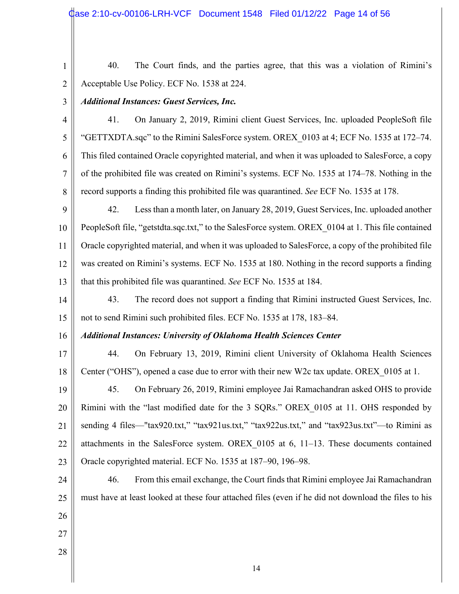40. The Court finds, and the parties agree, that this was a violation of Rimini's Acceptable Use Policy. ECF No. 1538 at 224.

3

# *Additional Instances: Guest Services, Inc.*

4 5 6 7 8 41. On January 2, 2019, Rimini client Guest Services, Inc. uploaded PeopleSoft file "GETTXDTA.sqc" to the Rimini SalesForce system. OREX\_0103 at 4; ECF No. 1535 at 172–74. This filed contained Oracle copyrighted material, and when it was uploaded to SalesForce, a copy of the prohibited file was created on Rimini's systems. ECF No. 1535 at 174–78. Nothing in the record supports a finding this prohibited file was quarantined. *See* ECF No. 1535 at 178.

9 10 11 12 13 42. Less than a month later, on January 28, 2019, Guest Services, Inc. uploaded another PeopleSoft file, "getstdta.sqc.txt," to the SalesForce system. OREX\_0104 at 1. This file contained Oracle copyrighted material, and when it was uploaded to SalesForce, a copy of the prohibited file was created on Rimini's systems. ECF No. 1535 at 180. Nothing in the record supports a finding that this prohibited file was quarantined. *See* ECF No. 1535 at 184.

14 15 43. The record does not support a finding that Rimini instructed Guest Services, Inc. not to send Rimini such prohibited files. ECF No. 1535 at 178, 183–84.

#### 16 *Additional Instances: University of Oklahoma Health Sciences Center*

17 18 44. On February 13, 2019, Rimini client University of Oklahoma Health Sciences Center ("OHS"), opened a case due to error with their new W2c tax update. OREX\_0105 at 1.

19 20 21 22 23 45. On February 26, 2019, Rimini employee Jai Ramachandran asked OHS to provide Rimini with the "last modified date for the 3 SQRs." OREX\_0105 at 11. OHS responded by sending 4 files—"tax920.txt," "tax921us.txt," "tax922us.txt," and "tax923us.txt"—to Rimini as attachments in the SalesForce system. OREX  $0105$  at 6, 11–13. These documents contained Oracle copyrighted material. ECF No. 1535 at 187–90, 196–98.

24 25 26 46. From this email exchange, the Court finds that Rimini employee Jai Ramachandran must have at least looked at these four attached files (even if he did not download the files to his

- 27
- 28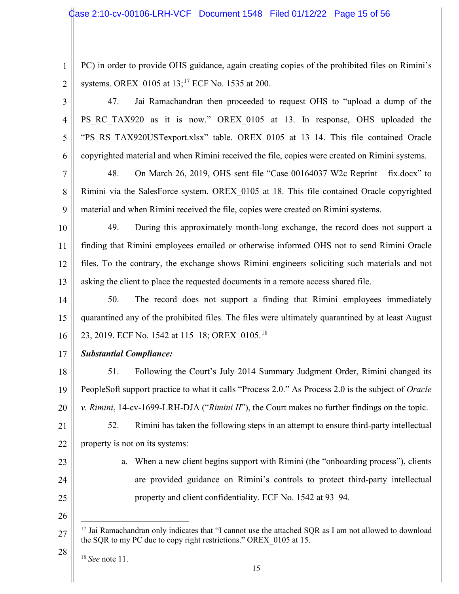3

5

6

PC) in order to provide OHS guidance, again creating copies of the prohibited files on Rimini's systems. OREX\_0105 at 13;<sup>17</sup> ECF No. 1535 at 200.

4 47. Jai Ramachandran then proceeded to request OHS to "upload a dump of the PS\_RC\_TAX920 as it is now." OREX\_0105 at 13. In response, OHS uploaded the "PS\_RS\_TAX920USTexport.xlsx" table. OREX\_0105 at 13–14. This file contained Oracle copyrighted material and when Rimini received the file, copies were created on Rimini systems.

7 8 9 48. On March 26, 2019, OHS sent file "Case 00164037 W2c Reprint – fix.docx" to Rimini via the SalesForce system. OREX\_0105 at 18. This file contained Oracle copyrighted material and when Rimini received the file, copies were created on Rimini systems.

10 11 12 13 49. During this approximately month-long exchange, the record does not support a finding that Rimini employees emailed or otherwise informed OHS not to send Rimini Oracle files. To the contrary, the exchange shows Rimini engineers soliciting such materials and not asking the client to place the requested documents in a remote access shared file.

14 15 16 50. The record does not support a finding that Rimini employees immediately quarantined any of the prohibited files. The files were ultimately quarantined by at least August 23, 2019. ECF No. 1542 at 115–18; OREX\_0105.<sup>18</sup>

17 *Substantial Compliance:*

18 19 20 21 51. Following the Court's July 2014 Summary Judgment Order, Rimini changed its PeopleSoft support practice to what it calls "Process 2.0." As Process 2.0 is the subject of *Oracle v. Rimini*, 14-cv-1699-LRH-DJA ("*Rimini II*"), the Court makes no further findings on the topic. 52. Rimini has taken the following steps in an attempt to ensure third-party intellectual

- 22 property is not on its systems:
- 23

24

a. When a new client begins support with Rimini (the "onboarding process"), clients are provided guidance on Rimini's controls to protect third-party intellectual property and client confidentiality. ECF No. 1542 at 93–94.

25 26

<sup>27</sup> <sup>17</sup> Jai Ramachandran only indicates that "I cannot use the attached SQR as I am not allowed to download the SQR to my PC due to copy right restrictions." OREX\_0105 at 15.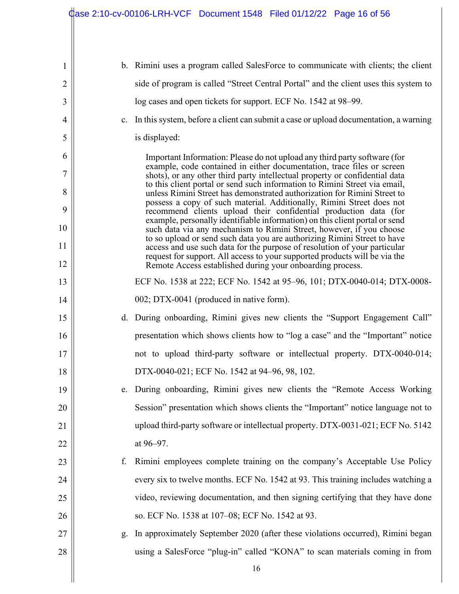$\parallel$ 

| 1              |    | b. Rimini uses a program called SalesForce to communicate with clients; the client                                                                                                                                              |
|----------------|----|---------------------------------------------------------------------------------------------------------------------------------------------------------------------------------------------------------------------------------|
| $\overline{2}$ |    | side of program is called "Street Central Portal" and the client uses this system to                                                                                                                                            |
| 3              |    | log cases and open tickets for support. ECF No. 1542 at 98–99.                                                                                                                                                                  |
| $\overline{4}$ | c. | In this system, before a client can submit a case or upload documentation, a warning                                                                                                                                            |
| 5              |    | is displayed:                                                                                                                                                                                                                   |
| 6              |    | Important Information: Please do not upload any third party software (for                                                                                                                                                       |
| 7              |    | example, code contained in either documentation, trace files or screen<br>shots), or any other third party intellectual property or confidential data                                                                           |
| 8              |    | to this client portal or send such information to Rimini Street via email,<br>unless Rimini Street has demonstrated authorization for Rimini Street to                                                                          |
| 9              |    | possess a copy of such material. Additionally, Rimini Street does not<br>recommend clients upload their confidential production data (for                                                                                       |
| 10             |    | example, personally identifiable information) on this client portal or send<br>such data via any mechanism to Rimini Street, however, if you choose<br>to so upload or send such data you are authorizing Rimini Street to have |
| 11             |    | access and use such data for the purpose of resolution of your particular<br>request for support. All access to your supported products will be via the                                                                         |
| 12             |    | Remote Access established during your onboarding process.                                                                                                                                                                       |
| 13             |    | ECF No. 1538 at 222; ECF No. 1542 at 95-96, 101; DTX-0040-014; DTX-0008-                                                                                                                                                        |
| 14             |    | 002; DTX-0041 (produced in native form).                                                                                                                                                                                        |
| 15             |    | d. During onboarding, Rimini gives new clients the "Support Engagement Call"                                                                                                                                                    |
| 16             |    | presentation which shows clients how to "log a case" and the "Important" notice                                                                                                                                                 |
| 17             |    | not to upload third-party software or intellectual property. DTX-0040-014;                                                                                                                                                      |
| 18             |    | DTX-0040-021; ECF No. 1542 at 94–96, 98, 102.                                                                                                                                                                                   |
| 19             |    | During onboarding, Rimini gives new clients the "Remote Access Working                                                                                                                                                          |
| 20             |    | Session" presentation which shows clients the "Important" notice language not to                                                                                                                                                |
| 21             |    | upload third-party software or intellectual property. DTX-0031-021; ECF No. 5142                                                                                                                                                |
| 22             |    | at 96–97.                                                                                                                                                                                                                       |
| 23             | f. | Rimini employees complete training on the company's Acceptable Use Policy                                                                                                                                                       |
| 24             |    | every six to twelve months. ECF No. 1542 at 93. This training includes watching a                                                                                                                                               |
| 25             |    | video, reviewing documentation, and then signing certifying that they have done                                                                                                                                                 |
| 26             |    | so. ECF No. 1538 at 107-08; ECF No. 1542 at 93.                                                                                                                                                                                 |
| 27             | g. | In approximately September 2020 (after these violations occurred), Rimini began                                                                                                                                                 |
| 28             |    | using a SalesForce "plug-in" called "KONA" to scan materials coming in from                                                                                                                                                     |
|                |    | 16                                                                                                                                                                                                                              |
|                |    |                                                                                                                                                                                                                                 |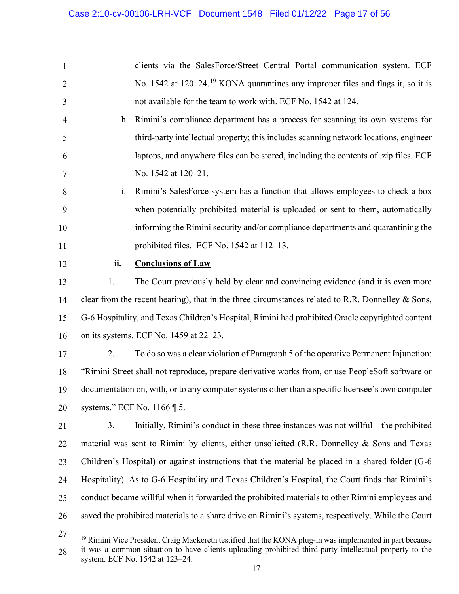| $\mathbf{1}$   |                                                 | clients via the SalesForce/Street Central Portal communication system. ECF                                          |
|----------------|-------------------------------------------------|---------------------------------------------------------------------------------------------------------------------|
| $\overline{2}$ |                                                 | No. 1542 at 120–24. <sup>19</sup> KONA quarantines any improper files and flags it, so it is                        |
| 3              |                                                 | not available for the team to work with. ECF No. 1542 at 124.                                                       |
| 4              |                                                 | h. Rimini's compliance department has a process for scanning its own systems for                                    |
| 5              |                                                 | third-party intellectual property; this includes scanning network locations, engineer                               |
| 6              |                                                 | laptops, and anywhere files can be stored, including the contents of .zip files. ECF                                |
| 7              |                                                 | No. 1542 at 120–21.                                                                                                 |
| 8              | i.                                              | Rimini's SalesForce system has a function that allows employees to check a box                                      |
| 9              |                                                 | when potentially prohibited material is uploaded or sent to them, automatically                                     |
| 10             |                                                 | informing the Rimini security and/or compliance departments and quarantining the                                    |
| 11             |                                                 | prohibited files. ECF No. 1542 at 112-13.                                                                           |
| 12             | ii.                                             | <b>Conclusions of Law</b>                                                                                           |
| 13             | 1.                                              | The Court previously held by clear and convincing evidence (and it is even more                                     |
| 14             |                                                 | clear from the recent hearing), that in the three circumstances related to R.R. Donnelley & Sons,                   |
| 15             |                                                 | G-6 Hospitality, and Texas Children's Hospital, Rimini had prohibited Oracle copyrighted content                    |
| 16             |                                                 | on its systems. ECF No. 1459 at 22–23.                                                                              |
| 17             | 2.                                              | To do so was a clear violation of Paragraph 5 of the operative Permanent Injunction:                                |
| 18             |                                                 | "Rimini Street shall not reproduce, prepare derivative works from, or use PeopleSoft software or                    |
| 19             |                                                 | documentation on, with, or to any computer systems other than a specific licensee's own computer                    |
| 20             | systems." ECF No. $1166 \text{ }\mathsf{ }75$ . |                                                                                                                     |
| 21             | 3.                                              | Initially, Rimini's conduct in these three instances was not will ful—the prohibited                                |
| 22             |                                                 | material was sent to Rimini by clients, either unsolicited (R.R. Donnelley & Sons and Texas                         |
| 23             |                                                 | Children's Hospital) or against instructions that the material be placed in a shared folder (G-6                    |
| 24             |                                                 | Hospitality). As to G-6 Hospitality and Texas Children's Hospital, the Court finds that Rimini's                    |
| 25             |                                                 | conduct became willful when it forwarded the prohibited materials to other Rimini employees and                     |
| 26             |                                                 | saved the prohibited materials to a share drive on Rimini's systems, respectively. While the Court                  |
| 27             |                                                 | <sup>19</sup> Rimini Vice President Craig Mackereth testified that the KONA plug-in was implemented in part because |

<sup>28</sup> it was a common situation to have clients uploading prohibited third-party intellectual property to the system. ECF No. 1542 at 123–24.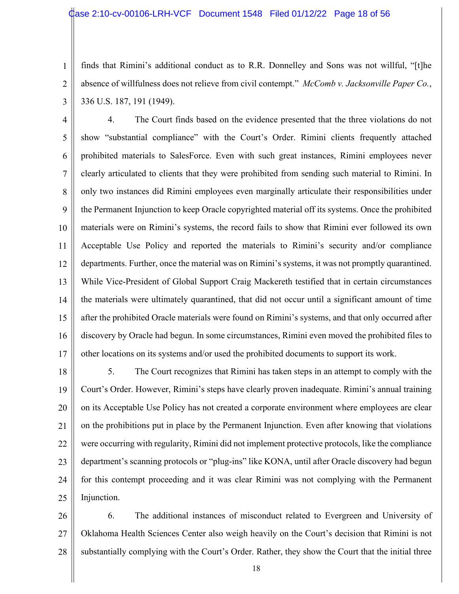2

3

finds that Rimini's additional conduct as to R.R. Donnelley and Sons was not willful, "[t]he absence of willfulness does not relieve from civil contempt." *McComb v. Jacksonville Paper Co.*, 336 U.S. 187, 191 (1949).

4 5 6 7 8 9 10 11 12 13 14 15 16 17 4. The Court finds based on the evidence presented that the three violations do not show "substantial compliance" with the Court's Order. Rimini clients frequently attached prohibited materials to SalesForce. Even with such great instances, Rimini employees never clearly articulated to clients that they were prohibited from sending such material to Rimini. In only two instances did Rimini employees even marginally articulate their responsibilities under the Permanent Injunction to keep Oracle copyrighted material off its systems. Once the prohibited materials were on Rimini's systems, the record fails to show that Rimini ever followed its own Acceptable Use Policy and reported the materials to Rimini's security and/or compliance departments. Further, once the material was on Rimini's systems, it was not promptly quarantined. While Vice-President of Global Support Craig Mackereth testified that in certain circumstances the materials were ultimately quarantined, that did not occur until a significant amount of time after the prohibited Oracle materials were found on Rimini's systems, and that only occurred after discovery by Oracle had begun. In some circumstances, Rimini even moved the prohibited files to other locations on its systems and/or used the prohibited documents to support its work.

18 19 20 21 22 23 24 25 5. The Court recognizes that Rimini has taken steps in an attempt to comply with the Court's Order. However, Rimini's steps have clearly proven inadequate. Rimini's annual training on its Acceptable Use Policy has not created a corporate environment where employees are clear on the prohibitions put in place by the Permanent Injunction. Even after knowing that violations were occurring with regularity, Rimini did not implement protective protocols, like the compliance department's scanning protocols or "plug-ins" like KONA, until after Oracle discovery had begun for this contempt proceeding and it was clear Rimini was not complying with the Permanent Injunction.

26 27 28 6. The additional instances of misconduct related to Evergreen and University of Oklahoma Health Sciences Center also weigh heavily on the Court's decision that Rimini is not substantially complying with the Court's Order. Rather, they show the Court that the initial three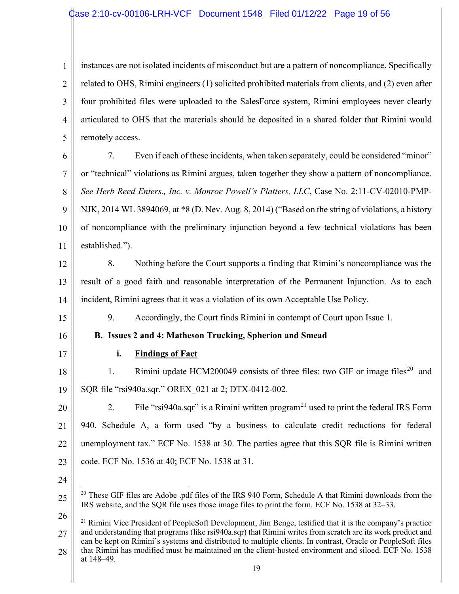1 2 3 4 5 instances are not isolated incidents of misconduct but are a pattern of noncompliance. Specifically related to OHS, Rimini engineers (1) solicited prohibited materials from clients, and (2) even after four prohibited files were uploaded to the SalesForce system, Rimini employees never clearly articulated to OHS that the materials should be deposited in a shared folder that Rimini would remotely access.

6 7 8 9 10 11 7. Even if each of these incidents, when taken separately, could be considered "minor" or "technical" violations as Rimini argues, taken together they show a pattern of noncompliance. *See Herb Reed Enters., Inc. v. Monroe Powell's Platters, LLC*, Case No. 2:11-CV-02010-PMP-NJK, 2014 WL 3894069, at \*8 (D. Nev. Aug. 8, 2014) ("Based on the string of violations, a history of noncompliance with the preliminary injunction beyond a few technical violations has been established.").

12

13 14 8. Nothing before the Court supports a finding that Rimini's noncompliance was the result of a good faith and reasonable interpretation of the Permanent Injunction. As to each incident, Rimini agrees that it was a violation of its own Acceptable Use Policy.

9. Accordingly, the Court finds Rimini in contempt of Court upon Issue 1.

**B. Issues 2 and 4: Matheson Trucking, Spherion and Smead** 

# 16

15

17

# **i. Findings of Fact**

18 19 1. Rimini update HCM200049 consists of three files: two GIF or image files<sup>20</sup> and SQR file "rsi940a.sqr." OREX\_021 at 2; DTX-0412-002.

20 21 22 23 2. File "rsigation-squar" is a Rimini written program<sup>21</sup> used to print the federal IRS Form 940, Schedule A, a form used "by a business to calculate credit reductions for federal unemployment tax." ECF No. 1538 at 30. The parties agree that this SQR file is Rimini written code. ECF No. 1536 at 40; ECF No. 1538 at 31.

24

25

<sup>20</sup> These GIF files are Adobe .pdf files of the IRS 940 Form, Schedule A that Rimini downloads from the IRS website, and the SQR file uses those image files to print the form. ECF No. 1538 at 32–33.

<sup>27</sup> 28  $21$  Rimini Vice President of PeopleSoft Development, Jim Benge, testified that it is the company's practice and understanding that programs (like rsi940a.sqr) that Rimini writes from scratch are its work product and can be kept on Rimini's systems and distributed to multiple clients. In contrast, Oracle or PeopleSoft files that Rimini has modified must be maintained on the client-hosted environment and siloed. ECF No. 1538 at 148–49.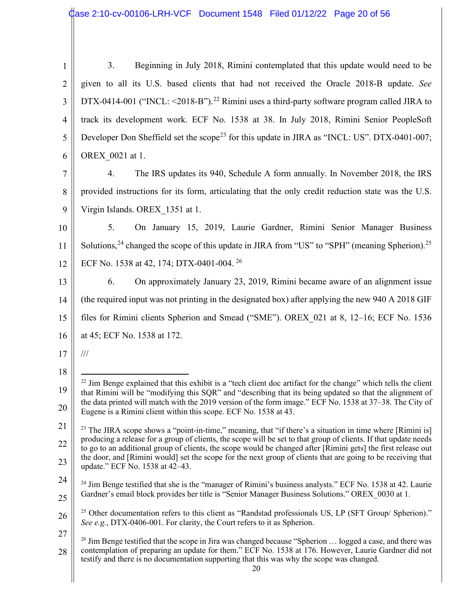| $\mathbf{1}$   | Beginning in July 2018, Rimini contemplated that this update would need to be<br>3.                                                                                                                                                   |
|----------------|---------------------------------------------------------------------------------------------------------------------------------------------------------------------------------------------------------------------------------------|
| $\overline{2}$ | given to all its U.S. based clients that had not received the Oracle 2018-B update. See                                                                                                                                               |
| 3              | DTX-0414-001 ("INCL: $\leq$ 2018-B"). <sup>22</sup> Rimini uses a third-party software program called JIRA to                                                                                                                         |
| 4              | track its development work. ECF No. 1538 at 38. In July 2018, Rimini Senior PeopleSoft                                                                                                                                                |
| 5              | Developer Don Sheffield set the scope <sup>23</sup> for this update in JIRA as "INCL: US". DTX-0401-007;                                                                                                                              |
| 6              | OREX 0021 at 1.                                                                                                                                                                                                                       |
| 7              | The IRS updates its 940, Schedule A form annually. In November 2018, the IRS<br>4.                                                                                                                                                    |
| 8              | provided instructions for its form, articulating that the only credit reduction state was the U.S.                                                                                                                                    |
| 9              | Virgin Islands. OREX 1351 at 1.                                                                                                                                                                                                       |
| 10             | 5.<br>On January 15, 2019, Laurie Gardner, Rimini Senior Manager Business                                                                                                                                                             |
| 11             | Solutions, $24$ changed the scope of this update in JIRA from "US" to "SPH" (meaning Spherion). $25$                                                                                                                                  |
| 12             | ECF No. 1538 at 42, 174; DTX-0401-004. <sup>26</sup>                                                                                                                                                                                  |
| 13             | On approximately January 23, 2019, Rimini became aware of an alignment issue<br>6.                                                                                                                                                    |
| 14             | (the required input was not printing in the designated box) after applying the new 940 A 2018 GIF                                                                                                                                     |
| 15             | files for Rimini clients Spherion and Smead ("SME"). OREX_021 at 8, 12-16; ECF No. 1536                                                                                                                                               |
| 16             | at 45; ECF No. 1538 at 172.                                                                                                                                                                                                           |
| 17             | $/ \! / \! /$                                                                                                                                                                                                                         |
| 18             |                                                                                                                                                                                                                                       |
| 19             | <sup>22</sup> Jim Benge explained that this exhibit is a "tech client doc artifact for the change" which tells the client<br>that Rimini will be "modifying this SQR" and "describing that its being updated so that the alignment of |
| 20             | the data printed will match with the 2019 version of the form image." ECF No. 1538 at 37–38. The City of<br>Eugene is a Rimini client within this scope. ECF No. 1538 at 43.                                                          |
| 21             | <sup>23</sup> The JIRA scope shows a "point-in-time," meaning, that "if there's a situation in time where [Rimini is]                                                                                                                 |
| 22             | producing a release for a group of clients, the scope will be set to that group of clients. If that update needs<br>to go to an additional group of clients, the scope would be changed after [Rimini gets] the first release out     |
| 23             | the door, and [Rimini would] set the scope for the next group of clients that are going to be receiving that<br>update." ECF No. 1538 at 42–43.                                                                                       |
| 24             | <sup>24</sup> Jim Benge testified that she is the "manager of Rimini's business analysts." ECF No. 1538 at 42. Laurie                                                                                                                 |
| 25             | Gardner's email block provides her title is "Senior Manager Business Solutions." OREX 0030 at 1.                                                                                                                                      |
|                | <sup>25</sup> Other documentation refers to this client as "Randstad professionals LIS LP (SET Group/Spherion)"                                                                                                                       |

<sup>26</sup> 27 Other documentation refers to this client as "Randstad professionals US, LP (SFT Group/ Spherion). *See e.g.*, DTX-0406-001. For clarity, the Court refers to it as Spherion.

<sup>28</sup> <sup>26</sup> Jim Benge testified that the scope in Jira was changed because "Spherion ... logged a case, and there was contemplation of preparing an update for them." ECF No. 1538 at 176. However, Laurie Gardner did not testify and there is no documentation supporting that this was why the scope was changed.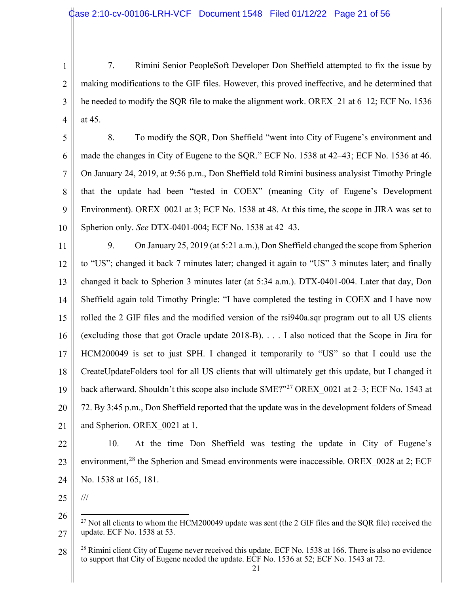1 2 3 4 7. Rimini Senior PeopleSoft Developer Don Sheffield attempted to fix the issue by making modifications to the GIF files. However, this proved ineffective, and he determined that he needed to modify the SQR file to make the alignment work. OREX\_21 at 6–12; ECF No. 1536 at 45.

5 6 7 8 9 10 8. To modify the SQR, Don Sheffield "went into City of Eugene's environment and made the changes in City of Eugene to the SQR." ECF No. 1538 at 42–43; ECF No. 1536 at 46. On January 24, 2019, at 9:56 p.m., Don Sheffield told Rimini business analysist Timothy Pringle that the update had been "tested in COEX" (meaning City of Eugene's Development Environment). OREX 0021 at 3; ECF No. 1538 at 48. At this time, the scope in JIRA was set to Spherion only. *See* DTX-0401-004; ECF No. 1538 at 42–43.

11 12 13 14 15 16 17 18 19 20 21 9. On January 25, 2019 (at 5:21 a.m.), Don Sheffield changed the scope from Spherion to "US"; changed it back 7 minutes later; changed it again to "US" 3 minutes later; and finally changed it back to Spherion 3 minutes later (at 5:34 a.m.). DTX-0401-004. Later that day, Don Sheffield again told Timothy Pringle: "I have completed the testing in COEX and I have now rolled the 2 GIF files and the modified version of the rsi940a.sqr program out to all US clients (excluding those that got Oracle update 2018-B). . . . I also noticed that the Scope in Jira for HCM200049 is set to just SPH. I changed it temporarily to "US" so that I could use the CreateUpdateFolders tool for all US clients that will ultimately get this update, but I changed it back afterward. Shouldn't this scope also include  $SME$ <sup>27</sup> OREX 0021 at 2–3; ECF No. 1543 at 72. By 3:45 p.m., Don Sheffield reported that the update was in the development folders of Smead and Spherion. OREX\_0021 at 1.

22 23 24 10. At the time Don Sheffield was testing the update in City of Eugene's environment,<sup>28</sup> the Spherion and Smead environments were inaccessible. OREX\_0028 at 2; ECF No. 1538 at 165, 181.

25

///

<sup>26</sup> 27  $27$  Not all clients to whom the HCM200049 update was sent (the 2 GIF files and the SQR file) received the update. ECF No. 1538 at 53.

<sup>28</sup> <sup>28</sup> Rimini client City of Eugene never received this update. ECF No. 1538 at 166. There is also no evidence to support that City of Eugene needed the update. ECF No. 1536 at 52; ECF No. 1543 at 72.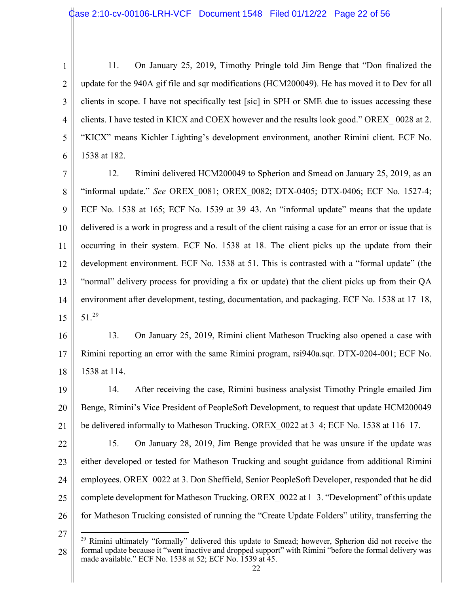3

4

5

6

11. On January 25, 2019, Timothy Pringle told Jim Benge that "Don finalized the update for the 940A gif file and sqr modifications (HCM200049). He has moved it to Dev for all clients in scope. I have not specifically test [sic] in SPH or SME due to issues accessing these clients. I have tested in KICX and COEX however and the results look good." OREX\_ 0028 at 2. "KICX" means Kichler Lighting's development environment, another Rimini client. ECF No. 1538 at 182.

7 8 9 10 11 12 13 14 15 12. Rimini delivered HCM200049 to Spherion and Smead on January 25, 2019, as an "informal update." *See* OREX\_0081; OREX\_0082; DTX-0405; DTX-0406; ECF No. 1527-4; ECF No. 1538 at 165; ECF No. 1539 at 39–43. An "informal update" means that the update delivered is a work in progress and a result of the client raising a case for an error or issue that is occurring in their system. ECF No. 1538 at 18. The client picks up the update from their development environment. ECF No. 1538 at 51. This is contrasted with a "formal update" (the "normal" delivery process for providing a fix or update) that the client picks up from their QA environment after development, testing, documentation, and packaging. ECF No. 1538 at 17–18, 51.29

16 17 18 13. On January 25, 2019, Rimini client Matheson Trucking also opened a case with Rimini reporting an error with the same Rimini program, rsi940a.sqr. DTX-0204-001; ECF No. 1538 at 114.

19 20 21 14. After receiving the case, Rimini business analysist Timothy Pringle emailed Jim Benge, Rimini's Vice President of PeopleSoft Development, to request that update HCM200049 be delivered informally to Matheson Trucking. OREX\_0022 at 3–4; ECF No. 1538 at 116–17.

22 23 24 25 26 15. On January 28, 2019, Jim Benge provided that he was unsure if the update was either developed or tested for Matheson Trucking and sought guidance from additional Rimini employees. OREX 0022 at 3. Don Sheffield, Senior PeopleSoft Developer, responded that he did complete development for Matheson Trucking. OREX\_0022 at 1–3. "Development" of this update for Matheson Trucking consisted of running the "Create Update Folders" utility, transferring the

<sup>27</sup>

<sup>28</sup>  $29$  Rimini ultimately "formally" delivered this update to Smead; however, Spherion did not receive the formal update because it "went inactive and dropped support" with Rimini "before the formal delivery was made available." ECF No. 1538 at 52; ECF No. 1539 at 45.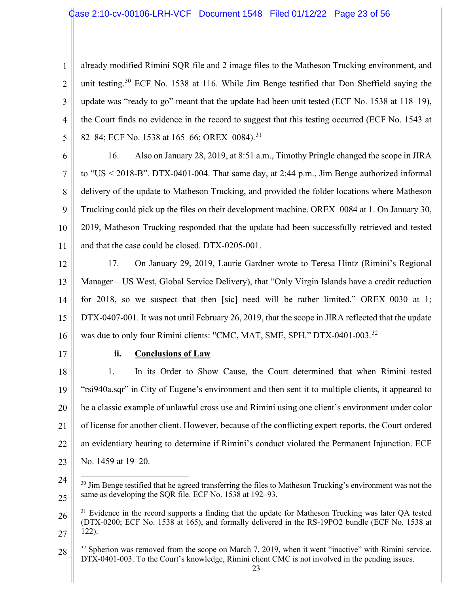1 2 3 4 5 already modified Rimini SQR file and 2 image files to the Matheson Trucking environment, and unit testing.<sup>30</sup> ECF No. 1538 at 116. While Jim Benge testified that Don Sheffield saying the update was "ready to go" meant that the update had been unit tested (ECF No. 1538 at 118–19), the Court finds no evidence in the record to suggest that this testing occurred (ECF No. 1543 at 82–84; ECF No. 1538 at 165–66; OREX\_0084).<sup>31</sup>

6

7 8 9 10 11 16. Also on January 28, 2019, at 8:51 a.m., Timothy Pringle changed the scope in JIRA to "US < 2018-B". DTX-0401-004. That same day, at 2:44 p.m., Jim Benge authorized informal delivery of the update to Matheson Trucking, and provided the folder locations where Matheson Trucking could pick up the files on their development machine. OREX\_0084 at 1. On January 30, 2019, Matheson Trucking responded that the update had been successfully retrieved and tested and that the case could be closed. DTX-0205-001.

12 13 14 15 16 17. On January 29, 2019, Laurie Gardner wrote to Teresa Hintz (Rimini's Regional Manager – US West, Global Service Delivery), that "Only Virgin Islands have a credit reduction for 2018, so we suspect that then [sic] need will be rather limited." OREX 0030 at 1; DTX-0407-001. It was not until February 26, 2019, that the scope in JIRA reflected that the update was due to only four Rimini clients: "CMC, MAT, SME, SPH." DTX-0401-003.<sup>32</sup>

17

## **ii. Conclusions of Law**

18 19 20 21 22 23 1. In its Order to Show Cause, the Court determined that when Rimini tested "rsi940a.sqr" in City of Eugene's environment and then sent it to multiple clients, it appeared to be a classic example of unlawful cross use and Rimini using one client's environment under color of license for another client. However, because of the conflicting expert reports, the Court ordered an evidentiary hearing to determine if Rimini's conduct violated the Permanent Injunction. ECF No. 1459 at 19–20.

<sup>24</sup> 25  $30$  Jim Benge testified that he agreed transferring the files to Matheson Trucking's environment was not the same as developing the SQR file. ECF No. 1538 at 192–93.

<sup>26</sup> 27 <sup>31</sup> Evidence in the record supports a finding that the update for Matheson Trucking was later QA tested (DTX-0200; ECF No. 1538 at 165), and formally delivered in the RS-19PO2 bundle (ECF No. 1538 at 122).

<sup>28</sup>  $32$  Spherion was removed from the scope on March 7, 2019, when it went "inactive" with Rimini service. DTX-0401-003. To the Court's knowledge, Rimini client CMC is not involved in the pending issues.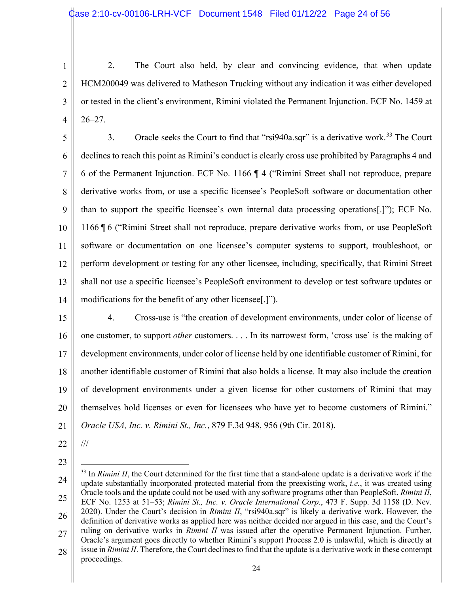3

4

2. The Court also held, by clear and convincing evidence, that when update HCM200049 was delivered to Matheson Trucking without any indication it was either developed or tested in the client's environment, Rimini violated the Permanent Injunction. ECF No. 1459 at 26–27.

5 6 7 8 9 10 11 12 13 14 3. Oracle seeks the Court to find that "rsi940a.sqr" is a derivative work.<sup>33</sup> The Court declines to reach this point as Rimini's conduct is clearly cross use prohibited by Paragraphs 4 and 6 of the Permanent Injunction. ECF No. 1166 ¶ 4 ("Rimini Street shall not reproduce, prepare derivative works from, or use a specific licensee's PeopleSoft software or documentation other than to support the specific licensee's own internal data processing operations[.]"); ECF No. 1166 ¶ 6 ("Rimini Street shall not reproduce, prepare derivative works from, or use PeopleSoft software or documentation on one licensee's computer systems to support, troubleshoot, or perform development or testing for any other licensee, including, specifically, that Rimini Street shall not use a specific licensee's PeopleSoft environment to develop or test software updates or modifications for the benefit of any other licensee[.]").

15

16 17 18 19 20 21 4. Cross-use is "the creation of development environments, under color of license of one customer, to support *other* customers. . . . In its narrowest form, 'cross use' is the making of development environments, under color of license held by one identifiable customer of Rimini, for another identifiable customer of Rimini that also holds a license. It may also include the creation of development environments under a given license for other customers of Rimini that may themselves hold licenses or even for licensees who have yet to become customers of Rimini." *Oracle USA, Inc. v. Rimini St., Inc.*, 879 F.3d 948, 956 (9th Cir. 2018).

22

///

<sup>24</sup> 25 26 27 28 <sup>33</sup> In *Rimini II*, the Court determined for the first time that a stand-alone update is a derivative work if the update substantially incorporated protected material from the preexisting work, *i.e.*, it was created using Oracle tools and the update could not be used with any software programs other than PeopleSoft. *Rimini II*, ECF No. 1253 at 51–53; *Rimini St., Inc. v. Oracle International Corp.*, 473 F. Supp. 3d 1158 (D. Nev. 2020). Under the Court's decision in *Rimini II*, "rsi940a.sqr" is likely a derivative work. However, the definition of derivative works as applied here was neither decided nor argued in this case, and the Court's ruling on derivative works in *Rimini II* was issued after the operative Permanent Injunction. Further, Oracle's argument goes directly to whether Rimini's support Process 2.0 is unlawful, which is directly at issue in *Rimini II*. Therefore, the Court declines to find that the update is a derivative work in these contempt proceedings.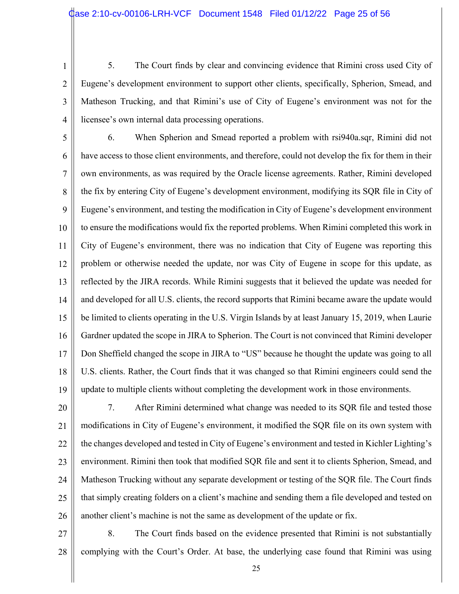2

3

4

5. The Court finds by clear and convincing evidence that Rimini cross used City of Eugene's development environment to support other clients, specifically, Spherion, Smead, and Matheson Trucking, and that Rimini's use of City of Eugene's environment was not for the licensee's own internal data processing operations.

5 6 7 8 9 10 11 12 13 14 15 16 17 18 19 6. When Spherion and Smead reported a problem with rsi940a.sqr, Rimini did not have access to those client environments, and therefore, could not develop the fix for them in their own environments, as was required by the Oracle license agreements. Rather, Rimini developed the fix by entering City of Eugene's development environment, modifying its SQR file in City of Eugene's environment, and testing the modification in City of Eugene's development environment to ensure the modifications would fix the reported problems. When Rimini completed this work in City of Eugene's environment, there was no indication that City of Eugene was reporting this problem or otherwise needed the update, nor was City of Eugene in scope for this update, as reflected by the JIRA records. While Rimini suggests that it believed the update was needed for and developed for all U.S. clients, the record supports that Rimini became aware the update would be limited to clients operating in the U.S. Virgin Islands by at least January 15, 2019, when Laurie Gardner updated the scope in JIRA to Spherion. The Court is not convinced that Rimini developer Don Sheffield changed the scope in JIRA to "US" because he thought the update was going to all U.S. clients. Rather, the Court finds that it was changed so that Rimini engineers could send the update to multiple clients without completing the development work in those environments.

20 21 22 23 24 25 26 7. After Rimini determined what change was needed to its SQR file and tested those modifications in City of Eugene's environment, it modified the SQR file on its own system with the changes developed and tested in City of Eugene's environment and tested in Kichler Lighting's environment. Rimini then took that modified SQR file and sent it to clients Spherion, Smead, and Matheson Trucking without any separate development or testing of the SQR file. The Court finds that simply creating folders on a client's machine and sending them a file developed and tested on another client's machine is not the same as development of the update or fix.

27 28 8. The Court finds based on the evidence presented that Rimini is not substantially complying with the Court's Order. At base, the underlying case found that Rimini was using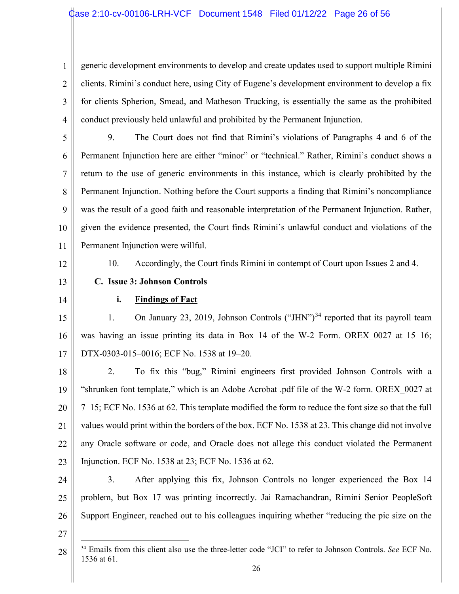1 2 3 4 generic development environments to develop and create updates used to support multiple Rimini clients. Rimini's conduct here, using City of Eugene's development environment to develop a fix for clients Spherion, Smead, and Matheson Trucking, is essentially the same as the prohibited conduct previously held unlawful and prohibited by the Permanent Injunction.

5 6 7 8 9 10 11 9. The Court does not find that Rimini's violations of Paragraphs 4 and 6 of the Permanent Injunction here are either "minor" or "technical." Rather, Rimini's conduct shows a return to the use of generic environments in this instance, which is clearly prohibited by the Permanent Injunction. Nothing before the Court supports a finding that Rimini's noncompliance was the result of a good faith and reasonable interpretation of the Permanent Injunction. Rather, given the evidence presented, the Court finds Rimini's unlawful conduct and violations of the Permanent Injunction were willful.

12

10. Accordingly, the Court finds Rimini in contempt of Court upon Issues 2 and 4.

- 13
- 14

#### **i. Findings of Fact**

**C. Issue 3: Johnson Controls**

15 16 17 1. On January 23, 2019, Johnson Controls ("JHN")<sup>34</sup> reported that its payroll team was having an issue printing its data in Box 14 of the W-2 Form. OREX 0027 at 15–16; DTX-0303-015–0016; ECF No. 1538 at 19–20.

18 19 20 21 22 23 2. To fix this "bug," Rimini engineers first provided Johnson Controls with a "shrunken font template," which is an Adobe Acrobat .pdf file of the W-2 form. OREX\_0027 at 7–15; ECF No. 1536 at 62. This template modified the form to reduce the font size so that the full values would print within the borders of the box. ECF No. 1538 at 23. This change did not involve any Oracle software or code, and Oracle does not allege this conduct violated the Permanent Injunction. ECF No. 1538 at 23; ECF No. 1536 at 62.

24 25 26 3. After applying this fix, Johnson Controls no longer experienced the Box 14 problem, but Box 17 was printing incorrectly. Jai Ramachandran, Rimini Senior PeopleSoft Support Engineer, reached out to his colleagues inquiring whether "reducing the pic size on the

<sup>28</sup> <sup>34</sup> Emails from this client also use the three-letter code "JCI" to refer to Johnson Controls. *See* ECF No. 1536 at 61.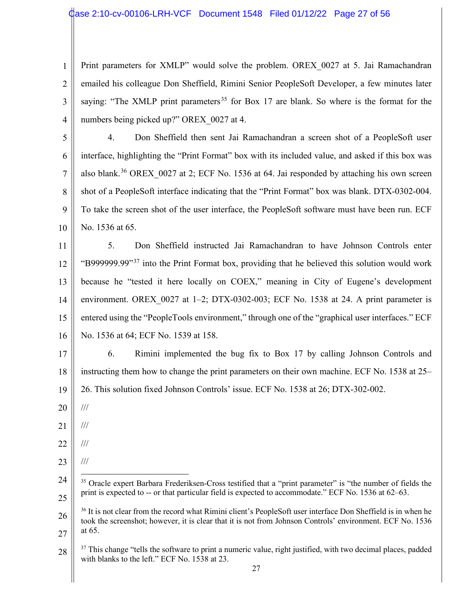1 2 3 4 Print parameters for XMLP" would solve the problem. OREX 0027 at 5. Jai Ramachandran emailed his colleague Don Sheffield, Rimini Senior PeopleSoft Developer, a few minutes later saying: "The XMLP print parameters<sup>35</sup> for Box 17 are blank. So where is the format for the numbers being picked up?" OREX 0027 at 4.

5 6 7 8 9 10 4. Don Sheffield then sent Jai Ramachandran a screen shot of a PeopleSoft user interface, highlighting the "Print Format" box with its included value, and asked if this box was also blank.<sup>36</sup> OREX 0027 at 2; ECF No. 1536 at 64. Jai responded by attaching his own screen shot of a PeopleSoft interface indicating that the "Print Format" box was blank. DTX-0302-004. To take the screen shot of the user interface, the PeopleSoft software must have been run. ECF No. 1536 at 65.

11 12 13 14 15 16 5. Don Sheffield instructed Jai Ramachandran to have Johnson Controls enter "B999999.99"<sup>37</sup> into the Print Format box, providing that he believed this solution would work because he "tested it here locally on COEX," meaning in City of Eugene's development environment. OREX 0027 at  $1-2$ ; DTX-0302-003; ECF No. 1538 at 24. A print parameter is entered using the "PeopleTools environment," through one of the "graphical user interfaces." ECF No. 1536 at 64; ECF No. 1539 at 158.

17 18 19 6. Rimini implemented the bug fix to Box 17 by calling Johnson Controls and instructing them how to change the print parameters on their own machine. ECF No. 1538 at 25– 26. This solution fixed Johnson Controls' issue. ECF No. 1538 at 26; DTX-302-002.

- 20 ///
- 21 ///
- 22 ///
- 23 ///

<sup>24</sup> 25 <sup>35</sup> Oracle expert Barbara Frederiksen-Cross testified that a "print parameter" is "the number of fields the print is expected to -- or that particular field is expected to accommodate." ECF No. 1536 at 62–63.

<sup>26</sup> 27 <sup>36</sup> It is not clear from the record what Rimini client's PeopleSoft user interface Don Sheffield is in when he took the screenshot; however, it is clear that it is not from Johnson Controls' environment. ECF No. 1536 at 65.

<sup>28</sup> <sup>37</sup> This change "tells the software to print a numeric value, right justified, with two decimal places, padded with blanks to the left." ECF No. 1538 at 23.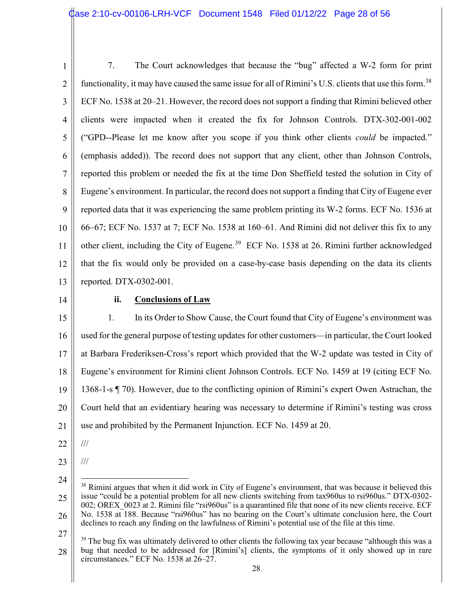1 2 3 4 5 6 7 8 9 10 11 12 13 7. The Court acknowledges that because the "bug" affected a W-2 form for print functionality, it may have caused the same issue for all of Rimini's U.S. clients that use this form.<sup>38</sup> ECF No. 1538 at 20–21. However, the record does not support a finding that Rimini believed other clients were impacted when it created the fix for Johnson Controls. DTX-302-001-002 ("GPD--Please let me know after you scope if you think other clients *could* be impacted." (emphasis added)). The record does not support that any client, other than Johnson Controls, reported this problem or needed the fix at the time Don Sheffield tested the solution in City of Eugene's environment. In particular, the record does not support a finding that City of Eugene ever reported data that it was experiencing the same problem printing its W-2 forms. ECF No. 1536 at 66–67; ECF No. 1537 at 7; ECF No. 1538 at 160–61. And Rimini did not deliver this fix to any other client, including the City of Eugene.<sup>39</sup> ECF No. 1538 at 26. Rimini further acknowledged that the fix would only be provided on a case-by-case basis depending on the data its clients reported. DTX-0302-001.

14

#### **ii. Conclusions of Law**

15 16 17 18 19 20 21 1. In its Order to Show Cause, the Court found that City of Eugene's environment was used for the general purpose of testing updates for other customers—in particular, the Court looked at Barbara Frederiksen-Cross's report which provided that the W-2 update was tested in City of Eugene's environment for Rimini client Johnson Controls. ECF No. 1459 at 19 (citing ECF No. 1368-1-s ¶ 70). However, due to the conflicting opinion of Rimini's expert Owen Astrachan, the Court held that an evidentiary hearing was necessary to determine if Rimini's testing was cross use and prohibited by the Permanent Injunction. ECF No. 1459 at 20.

- 22 ///
- 23

///

<sup>24</sup> 25 26 <sup>38</sup> Rimini argues that when it did work in City of Eugene's environment, that was because it believed this issue "could be a potential problem for all new clients switching from tax960us to rsi960us." DTX-0302- 002; OREX 0023 at 2. Rimini file "rsi960us" is a quarantined file that none of its new clients receive. ECF No. 1538 at 188. Because "rsi960us" has no bearing on the Court's ultimate conclusion here, the Court declines to reach any finding on the lawfulness of Rimini's potential use of the file at this time.

<sup>28</sup> <sup>39</sup> The bug fix was ultimately delivered to other clients the following tax year because "although this was a bug that needed to be addressed for [Rimini's] clients, the symptoms of it only showed up in rare circumstances." ECF No. 1538 at 26–27.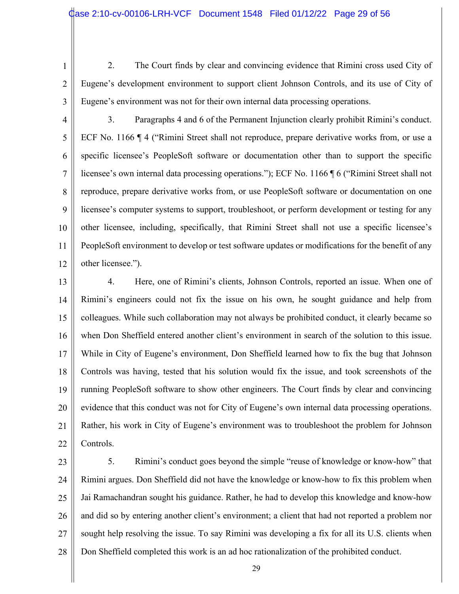- 1
- 2

2. The Court finds by clear and convincing evidence that Rimini cross used City of Eugene's development environment to support client Johnson Controls, and its use of City of Eugene's environment was not for their own internal data processing operations.

4 5 6 7 8 9 10 11 12 3. Paragraphs 4 and 6 of the Permanent Injunction clearly prohibit Rimini's conduct. ECF No. 1166 ¶ 4 ("Rimini Street shall not reproduce, prepare derivative works from, or use a specific licensee's PeopleSoft software or documentation other than to support the specific licensee's own internal data processing operations."); ECF No. 1166 ¶ 6 ("Rimini Street shall not reproduce, prepare derivative works from, or use PeopleSoft software or documentation on one licensee's computer systems to support, troubleshoot, or perform development or testing for any other licensee, including, specifically, that Rimini Street shall not use a specific licensee's PeopleSoft environment to develop or test software updates or modifications for the benefit of any other licensee.").

13 14 15 16 17 18 19 20 21 22 4. Here, one of Rimini's clients, Johnson Controls, reported an issue. When one of Rimini's engineers could not fix the issue on his own, he sought guidance and help from colleagues. While such collaboration may not always be prohibited conduct, it clearly became so when Don Sheffield entered another client's environment in search of the solution to this issue. While in City of Eugene's environment, Don Sheffield learned how to fix the bug that Johnson Controls was having, tested that his solution would fix the issue, and took screenshots of the running PeopleSoft software to show other engineers. The Court finds by clear and convincing evidence that this conduct was not for City of Eugene's own internal data processing operations. Rather, his work in City of Eugene's environment was to troubleshoot the problem for Johnson Controls.

23 24 25 26 27 28 5. Rimini's conduct goes beyond the simple "reuse of knowledge or know-how" that Rimini argues. Don Sheffield did not have the knowledge or know-how to fix this problem when Jai Ramachandran sought his guidance. Rather, he had to develop this knowledge and know-how and did so by entering another client's environment; a client that had not reported a problem nor sought help resolving the issue. To say Rimini was developing a fix for all its U.S. clients when Don Sheffield completed this work is an ad hoc rationalization of the prohibited conduct.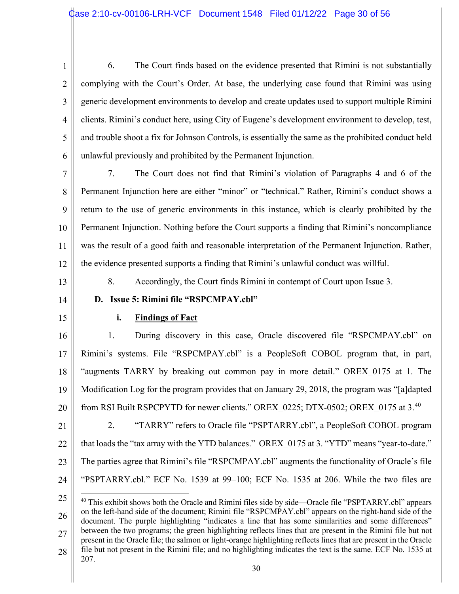3

4

5

6

6. The Court finds based on the evidence presented that Rimini is not substantially complying with the Court's Order. At base, the underlying case found that Rimini was using generic development environments to develop and create updates used to support multiple Rimini clients. Rimini's conduct here, using City of Eugene's development environment to develop, test, and trouble shoot a fix for Johnson Controls, is essentially the same as the prohibited conduct held unlawful previously and prohibited by the Permanent Injunction.

7 8 9 10 11 12 7. The Court does not find that Rimini's violation of Paragraphs 4 and 6 of the Permanent Injunction here are either "minor" or "technical." Rather, Rimini's conduct shows a return to the use of generic environments in this instance, which is clearly prohibited by the Permanent Injunction. Nothing before the Court supports a finding that Rimini's noncompliance was the result of a good faith and reasonable interpretation of the Permanent Injunction. Rather, the evidence presented supports a finding that Rimini's unlawful conduct was willful.

13

8. Accordingly, the Court finds Rimini in contempt of Court upon Issue 3.

14

15

# **i. Findings of Fact**

**D. Issue 5: Rimini file "RSPCMPAY.cbl"**

16 17 18 19 20 1. During discovery in this case, Oracle discovered file "RSPCMPAY.cbl" on Rimini's systems. File "RSPCMPAY.cbl" is a PeopleSoft COBOL program that, in part, "augments TARRY by breaking out common pay in more detail." OREX\_0175 at 1. The Modification Log for the program provides that on January 29, 2018, the program was "[a]dapted from RSI Built RSPCPYTD for newer clients." OREX 0225; DTX-0502; OREX 0175 at 3.<sup>40</sup>

21 22 23 24 2. "TARRY" refers to Oracle file "PSPTARRY.cbl", a PeopleSoft COBOL program that loads the "tax array with the YTD balances." OREX 0175 at 3. "YTD" means "year-to-date." The parties agree that Rimini's file "RSPCMPAY.cbl" augments the functionality of Oracle's file "PSPTARRY.cbl." ECF No. 1539 at 99–100; ECF No. 1535 at 206. While the two files are

<sup>25</sup> 26 27 28 <sup>40</sup> This exhibit shows both the Oracle and Rimini files side by side—Oracle file "PSPTARRY.cbl" appears on the left-hand side of the document; Rimini file "RSPCMPAY.cbl" appears on the right-hand side of the document. The purple highlighting "indicates a line that has some similarities and some differences" between the two programs; the green highlighting reflects lines that are present in the Rimini file but not present in the Oracle file; the salmon or light-orange highlighting reflects lines that are present in the Oracle file but not present in the Rimini file; and no highlighting indicates the text is the same. ECF No. 1535 at 207.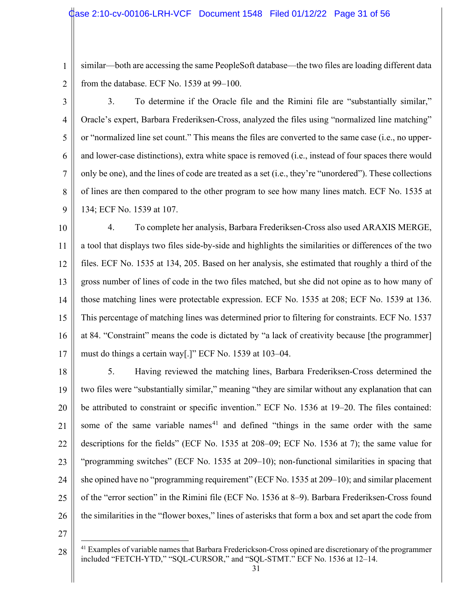similar—both are accessing the same PeopleSoft database—the two files are loading different data from the database. ECF No. 1539 at 99–100.

3

4 5 6 7 8 9 3. To determine if the Oracle file and the Rimini file are "substantially similar," Oracle's expert, Barbara Frederiksen-Cross, analyzed the files using "normalized line matching" or "normalized line set count." This means the files are converted to the same case (i.e., no upperand lower-case distinctions), extra white space is removed (i.e., instead of four spaces there would only be one), and the lines of code are treated as a set (i.e., they're "unordered"). These collections of lines are then compared to the other program to see how many lines match. ECF No. 1535 at 134; ECF No. 1539 at 107.

10 11 12 13 14 15 16 17 4. To complete her analysis, Barbara Frederiksen-Cross also used ARAXIS MERGE, a tool that displays two files side-by-side and highlights the similarities or differences of the two files. ECF No. 1535 at 134, 205. Based on her analysis, she estimated that roughly a third of the gross number of lines of code in the two files matched, but she did not opine as to how many of those matching lines were protectable expression. ECF No. 1535 at 208; ECF No. 1539 at 136. This percentage of matching lines was determined prior to filtering for constraints. ECF No. 1537 at 84. "Constraint" means the code is dictated by "a lack of creativity because [the programmer] must do things a certain way[.]" ECF No. 1539 at 103–04.

18 19 20 21 22 23 24 25 26 5. Having reviewed the matching lines, Barbara Frederiksen-Cross determined the two files were "substantially similar," meaning "they are similar without any explanation that can be attributed to constraint or specific invention." ECF No. 1536 at 19–20. The files contained: some of the same variable names<sup>41</sup> and defined "things in the same order with the same descriptions for the fields" (ECF No. 1535 at 208–09; ECF No. 1536 at 7); the same value for "programming switches" (ECF No. 1535 at 209–10); non-functional similarities in spacing that she opined have no "programming requirement" (ECF No. 1535 at 209–10); and similar placement of the "error section" in the Rimini file (ECF No. 1536 at 8–9). Barbara Frederiksen-Cross found the similarities in the "flower boxes," lines of asterisks that form a box and set apart the code from

<sup>28</sup> <sup>41</sup> Examples of variable names that Barbara Frederickson-Cross opined are discretionary of the programmer included "FETCH-YTD," "SQL-CURSOR," and "SQL-STMT." ECF No. 1536 at 12–14.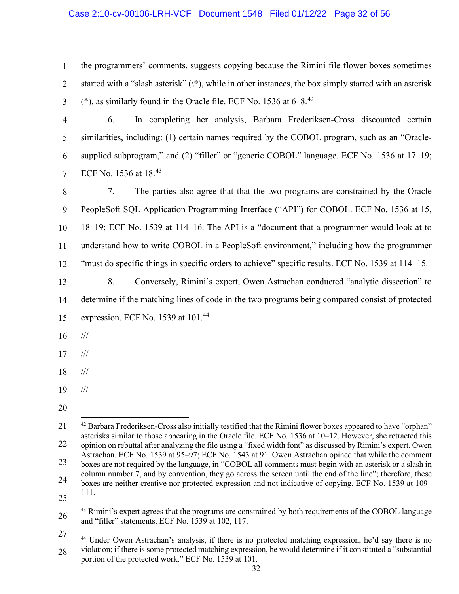| 1              | the programmers' comments, suggests copying because the Rimini file flower boxes sometimes                                                                                                                                   |
|----------------|------------------------------------------------------------------------------------------------------------------------------------------------------------------------------------------------------------------------------|
| $\overline{2}$ | started with a "slash asterisk" $(\hat{a}, \hat{b})$ , while in other instances, the box simply started with an asterisk                                                                                                     |
| 3              | (*), as similarly found in the Oracle file. ECF No. 1536 at $6-8$ . <sup>42</sup>                                                                                                                                            |
| $\overline{4}$ | 6.<br>In completing her analysis, Barbara Frederiksen-Cross discounted certain                                                                                                                                               |
| 5              | similarities, including: (1) certain names required by the COBOL program, such as an "Oracle-                                                                                                                                |
| 6              | supplied subprogram," and (2) "filler" or "generic COBOL" language. ECF No. 1536 at 17-19;                                                                                                                                   |
| 7              | ECF No. 1536 at 18.43                                                                                                                                                                                                        |
| 8              | 7.<br>The parties also agree that that the two programs are constrained by the Oracle                                                                                                                                        |
| 9              | PeopleSoft SQL Application Programming Interface ("API") for COBOL. ECF No. 1536 at 15,                                                                                                                                      |
| 10             | 18–19; ECF No. 1539 at 114–16. The API is a "document that a programmer would look at to                                                                                                                                     |
| 11             | understand how to write COBOL in a PeopleSoft environment," including how the programmer                                                                                                                                     |
| 12             | "must do specific things in specific orders to achieve" specific results. ECF No. 1539 at 114–15.                                                                                                                            |
| 13             | 8.<br>Conversely, Rimini's expert, Owen Astrachan conducted "analytic dissection" to                                                                                                                                         |
| 14             | determine if the matching lines of code in the two programs being compared consist of protected                                                                                                                              |
| 15             | expression. ECF No. 1539 at 101.44                                                                                                                                                                                           |
| 16             | $\frac{1}{1}$                                                                                                                                                                                                                |
| 17             | $\frac{1}{1}$                                                                                                                                                                                                                |
| 18             | $\frac{1}{1}$                                                                                                                                                                                                                |
| 19             | $\frac{1}{1}$                                                                                                                                                                                                                |
| 20             |                                                                                                                                                                                                                              |
| 21             | <sup>42</sup> Barbara Frederiksen-Cross also initially testified that the Rimini flower boxes appeared to have "orphan"                                                                                                      |
| 22             | asterisks similar to those appearing in the Oracle file. ECF No. 1536 at 10–12. However, she retracted this<br>opinion on rebuttal after analyzing the file using a "fixed width font" as discussed by Rimini's expert, Owen |
| 23             | Astrachan. ECF No. 1539 at 95–97; ECF No. 1543 at 91. Owen Astrachan opined that while the comment<br>boxes are not required by the language, in "COBOL all comments must begin with an asterisk or a slash in               |
| 24             | column number 7, and by convention, they go across the screen until the end of the line"; therefore, these<br>boxes are neither creative nor protected expression and not indicative of copying. ECF No. 1539 at 109-        |
| 25             | 111.                                                                                                                                                                                                                         |
| 26             | <sup>43</sup> Rimini's expert agrees that the programs are constrained by both requirements of the COBOL language<br>and "filler" statements. ECF No. 1539 at 102, 117.                                                      |
| 27             | <sup>44</sup> Under Owen Astrachan's analysis, if there is no protected matching expression, he'd say there is no                                                                                                            |
| 28             |                                                                                                                                                                                                                              |

 $\parallel$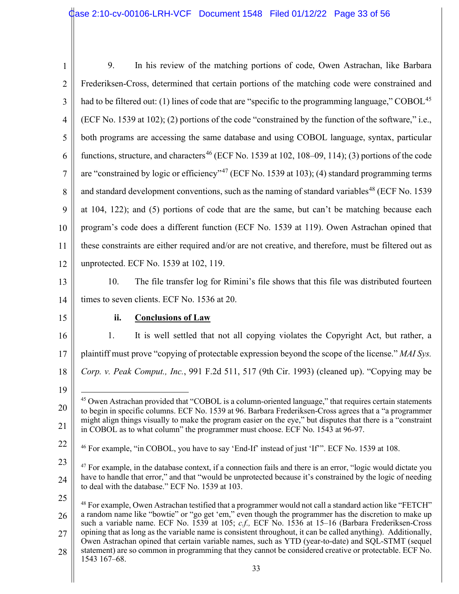| $\mathbf{1}$   | 9.<br>In his review of the matching portions of code, Owen Astrachan, like Barbara                                                                                                                                                                                                                                       |
|----------------|--------------------------------------------------------------------------------------------------------------------------------------------------------------------------------------------------------------------------------------------------------------------------------------------------------------------------|
| $\overline{2}$ | Frederiksen-Cross, determined that certain portions of the matching code were constrained and                                                                                                                                                                                                                            |
| 3              | had to be filtered out: (1) lines of code that are "specific to the programming language," COBOL <sup>45</sup>                                                                                                                                                                                                           |
| $\overline{4}$ | (ECF No. 1539 at 102); (2) portions of the code "constrained by the function of the software," i.e.,                                                                                                                                                                                                                     |
| 5              | both programs are accessing the same database and using COBOL language, syntax, particular                                                                                                                                                                                                                               |
| 6              | functions, structure, and characters <sup>46</sup> (ECF No. 1539 at 102, 108–09, 114); (3) portions of the code                                                                                                                                                                                                          |
| 7              | are "constrained by logic or efficiency" <sup>47</sup> (ECF No. 1539 at 103); (4) standard programming terms                                                                                                                                                                                                             |
| 8              | and standard development conventions, such as the naming of standard variables <sup>48</sup> (ECF No. 1539)                                                                                                                                                                                                              |
| 9              | at 104, 122); and (5) portions of code that are the same, but can't be matching because each                                                                                                                                                                                                                             |
| 10             | program's code does a different function (ECF No. 1539 at 119). Owen Astrachan opined that                                                                                                                                                                                                                               |
| 11             | these constraints are either required and/or are not creative, and therefore, must be filtered out as                                                                                                                                                                                                                    |
| 12             | unprotected. ECF No. 1539 at 102, 119.                                                                                                                                                                                                                                                                                   |
| 13             | The file transfer log for Rimini's file shows that this file was distributed fourteen<br>10.                                                                                                                                                                                                                             |
| 14             | times to seven clients. ECF No. 1536 at 20.                                                                                                                                                                                                                                                                              |
| 15             | ii.<br><b>Conclusions of Law</b>                                                                                                                                                                                                                                                                                         |
|                |                                                                                                                                                                                                                                                                                                                          |
| 16             | It is well settled that not all copying violates the Copyright Act, but rather, a<br>1.                                                                                                                                                                                                                                  |
| 17             | plaintiff must prove "copying of protectable expression beyond the scope of the license." MAI Sys.                                                                                                                                                                                                                       |
| 18             | Corp. v. Peak Comput., Inc., 991 F.2d 511, 517 (9th Cir. 1993) (cleaned up). "Copying may be                                                                                                                                                                                                                             |
| 19             |                                                                                                                                                                                                                                                                                                                          |
| 20             | <sup>45</sup> Owen Astrachan provided that "COBOL is a column-oriented language," that requires certain statements<br>to begin in specific columns. ECF No. 1539 at 96. Barbara Frederiksen-Cross agrees that a "a programmer"                                                                                           |
| 21             | might align things visually to make the program easier on the eye," but disputes that there is a "constraint"<br>in COBOL as to what column" the programmer must choose. ECF No. 1543 at 96-97.                                                                                                                          |
| 22             | <sup>46</sup> For example, "in COBOL, you have to say 'End-If' instead of just 'If'". ECF No. 1539 at 108.                                                                                                                                                                                                               |
| 23             | <sup>47</sup> For example, in the database context, if a connection fails and there is an error, "logic would dictate you                                                                                                                                                                                                |
| 24             | have to handle that error," and that "would be unprotected because it's constrained by the logic of needing<br>to deal with the database." ECF No. 1539 at 103.                                                                                                                                                          |
| 25             |                                                                                                                                                                                                                                                                                                                          |
| 26             | $^{48}$ For example, Owen Astrachan testified that a programmer would not call a standard action like "FETCH"<br>a random name like "bowtie" or "go get 'em," even though the programmer has the discretion to make up                                                                                                   |
| 27             | such a variable name. ECF No. 1539 at 105; c.f., ECF No. 1536 at 15-16 (Barbara Frederiksen-Cross<br>opining that as long as the variable name is consistent throughout, it can be called anything). Additionally,<br>Owen Astrachan opined that certain variable names, such as YTD (year-to-date) and SQL-STMT (sequel |
| 28             | statement) are so common in programming that they cannot be considered creative or protectable. ECF No.<br>1543 167-68.                                                                                                                                                                                                  |
|                | 33                                                                                                                                                                                                                                                                                                                       |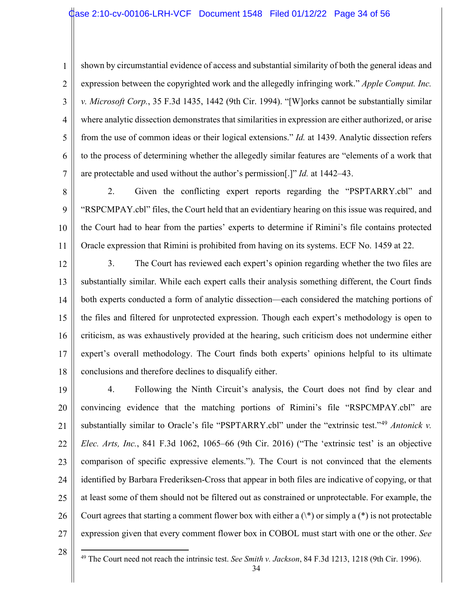1 2 3 4 5 6 7 shown by circumstantial evidence of access and substantial similarity of both the general ideas and expression between the copyrighted work and the allegedly infringing work." *Apple Comput. Inc. v. Microsoft Corp.*, 35 F.3d 1435, 1442 (9th Cir. 1994). "[W]orks cannot be substantially similar where analytic dissection demonstrates that similarities in expression are either authorized, or arise from the use of common ideas or their logical extensions." *Id.* at 1439. Analytic dissection refers to the process of determining whether the allegedly similar features are "elements of a work that are protectable and used without the author's permission[.]" *Id.* at 1442–43.

8 9 10 11 2. Given the conflicting expert reports regarding the "PSPTARRY.cbl" and "RSPCMPAY.cbl" files, the Court held that an evidentiary hearing on this issue was required, and the Court had to hear from the parties' experts to determine if Rimini's file contains protected Oracle expression that Rimini is prohibited from having on its systems. ECF No. 1459 at 22.

12 13 14 15 16 17 18 3. The Court has reviewed each expert's opinion regarding whether the two files are substantially similar. While each expert calls their analysis something different, the Court finds both experts conducted a form of analytic dissection—each considered the matching portions of the files and filtered for unprotected expression. Though each expert's methodology is open to criticism, as was exhaustively provided at the hearing, such criticism does not undermine either expert's overall methodology. The Court finds both experts' opinions helpful to its ultimate conclusions and therefore declines to disqualify either.

19 20 21 22 23 24 25 26 27 4. Following the Ninth Circuit's analysis, the Court does not find by clear and convincing evidence that the matching portions of Rimini's file "RSPCMPAY.cbl" are substantially similar to Oracle's file "PSPTARRY.cbl" under the "extrinsic test."<sup>49</sup> *Antonick v. Elec. Arts, Inc.*, 841 F.3d 1062, 1065–66 (9th Cir. 2016) ("The 'extrinsic test' is an objective comparison of specific expressive elements."). The Court is not convinced that the elements identified by Barbara Frederiksen-Cross that appear in both files are indicative of copying, or that at least some of them should not be filtered out as constrained or unprotectable. For example, the Court agrees that starting a comment flower box with either a  $(\dagger)$  or simply a  $(\dagger)$  is not protectable expression given that every comment flower box in COBOL must start with one or the other. *See*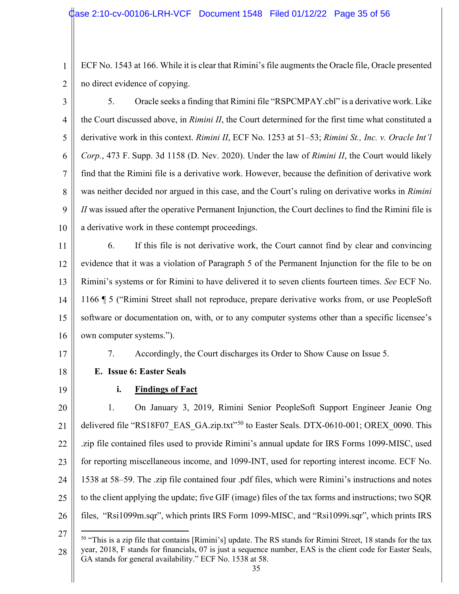1 2 ECF No. 1543 at 166. While it is clear that Rimini's file augments the Oracle file, Oracle presented no direct evidence of copying.

3 4 5 6 7 8 9 10 5. Oracle seeks a finding that Rimini file "RSPCMPAY.cbl" is a derivative work. Like the Court discussed above, in *Rimini II*, the Court determined for the first time what constituted a derivative work in this context. *Rimini II*, ECF No. 1253 at 51–53; *Rimini St., Inc. v. Oracle Int'l Corp.*, 473 F. Supp. 3d 1158 (D. Nev. 2020). Under the law of *Rimini II*, the Court would likely find that the Rimini file is a derivative work. However, because the definition of derivative work was neither decided nor argued in this case, and the Court's ruling on derivative works in *Rimini II* was issued after the operative Permanent Injunction, the Court declines to find the Rimini file is a derivative work in these contempt proceedings.

11 12 13 14 15 16 6. If this file is not derivative work, the Court cannot find by clear and convincing evidence that it was a violation of Paragraph 5 of the Permanent Injunction for the file to be on Rimini's systems or for Rimini to have delivered it to seven clients fourteen times. *See* ECF No. 1166 ¶ 5 ("Rimini Street shall not reproduce, prepare derivative works from, or use PeopleSoft software or documentation on, with, or to any computer systems other than a specific licensee's own computer systems.").

17

7. Accordingly, the Court discharges its Order to Show Cause on Issue 5.

18

**E. Issue 6: Easter Seals** 

19

# **i. Findings of Fact**

20 21 22 23 24 25 26 1. On January 3, 2019, Rimini Senior PeopleSoft Support Engineer Jeanie Ong delivered file "RS18F07\_EAS\_GA.zip.txt"<sup>50</sup> to Easter Seals. DTX-0610-001; OREX\_0090. This .zip file contained files used to provide Rimini's annual update for IRS Forms 1099-MISC, used for reporting miscellaneous income, and 1099-INT, used for reporting interest income. ECF No. 1538 at 58–59. The .zip file contained four .pdf files, which were Rimini's instructions and notes to the client applying the update; five GIF (image) files of the tax forms and instructions; two SQR files, "Rsi1099m.sqr", which prints IRS Form 1099-MISC, and "Rsi1099i.sqr", which prints IRS

<sup>27</sup> 28  $50$  "This is a zip file that contains [Rimini's] update. The RS stands for Rimini Street, 18 stands for the tax year, 2018, F stands for financials, 07 is just a sequence number, EAS is the client code for Easter Seals, GA stands for general availability." ECF No. 1538 at 58.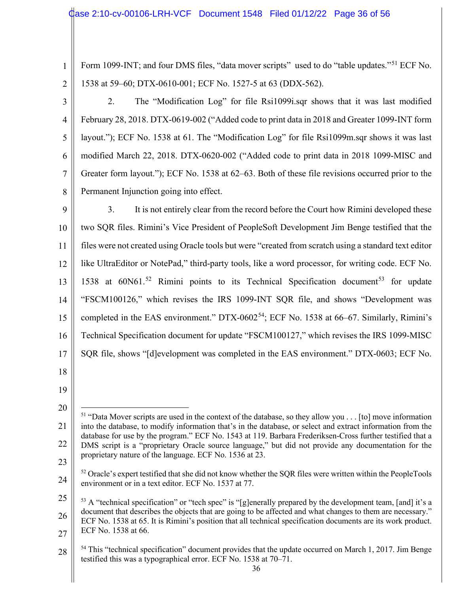Form 1099-INT; and four DMS files, "data mover scripts" used to do "table updates."<sup>51</sup> ECF No. 1538 at 59–60; DTX-0610-001; ECF No. 1527-5 at 63 (DDX-562).

3 4 5 6 7 8 2. The "Modification Log" for file Rsi1099i.sqr shows that it was last modified February 28, 2018. DTX-0619-002 ("Added code to print data in 2018 and Greater 1099-INT form layout."); ECF No. 1538 at 61. The "Modification Log" for file Rsi1099m.sqr shows it was last modified March 22, 2018. DTX-0620-002 ("Added code to print data in 2018 1099-MISC and Greater form layout."); ECF No. 1538 at 62–63. Both of these file revisions occurred prior to the Permanent Injunction going into effect.

9 10 11 12 13 14 15 16 17 18 3. It is not entirely clear from the record before the Court how Rimini developed these two SQR files. Rimini's Vice President of PeopleSoft Development Jim Benge testified that the files were not created using Oracle tools but were "created from scratch using a standard text editor like UltraEditor or NotePad," third-party tools, like a word processor, for writing code. ECF No. 1538 at  $60N61$ <sup>52</sup> Rimini points to its Technical Specification document<sup>53</sup> for update "FSCM100126," which revises the IRS 1099-INT SQR file, and shows "Development was completed in the EAS environment." DTX-0602<sup>54</sup>; ECF No. 1538 at 66–67. Similarly, Rimini's Technical Specification document for update "FSCM100127," which revises the IRS 1099-MISC SQR file, shows "[d]evelopment was completed in the EAS environment." DTX-0603; ECF No.

19

24  $52$  Oracle's expert testified that she did not know whether the SQR files were written within the PeopleTools environment or in a text editor. ECF No. 1537 at 77.

<sup>20</sup> 21 22 23 <sup>51</sup> "Data Mover scripts are used in the context of the database, so they allow you . . . [to] move information into the database, to modify information that's in the database, or select and extract information from the database for use by the program." ECF No. 1543 at 119. Barbara Frederiksen-Cross further testified that a DMS script is a "proprietary Oracle source language," but did not provide any documentation for the proprietary nature of the language. ECF No. 1536 at 23.

<sup>25</sup> 26 27 <sup>53</sup> A "technical specification" or "tech spec" is "[g]enerally prepared by the development team, [and] it's a document that describes the objects that are going to be affected and what changes to them are necessary." ECF No. 1538 at 65. It is Rimini's position that all technical specification documents are its work product. ECF No. 1538 at 66.

<sup>28</sup> <sup>54</sup> This "technical specification" document provides that the update occurred on March 1, 2017. Jim Benge testified this was a typographical error. ECF No. 1538 at 70–71.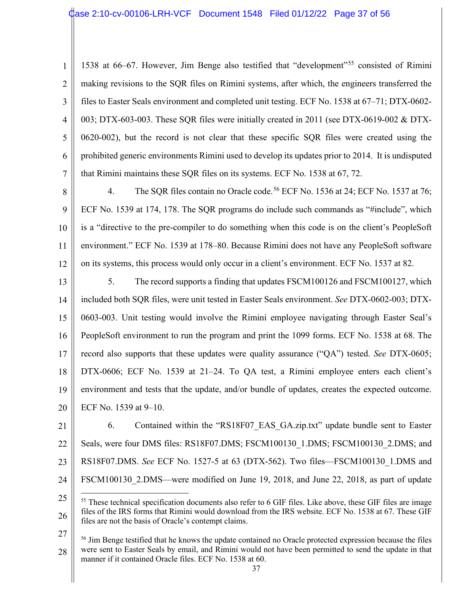1 2 3 4 5 6 7 1538 at 66–67. However, Jim Benge also testified that "development"<sup>55</sup> consisted of Rimini making revisions to the SQR files on Rimini systems, after which, the engineers transferred the files to Easter Seals environment and completed unit testing. ECF No. 1538 at 67–71; DTX-0602- 003; DTX-603-003. These SQR files were initially created in 2011 (see DTX-0619-002 & DTX-0620-002), but the record is not clear that these specific SQR files were created using the prohibited generic environments Rimini used to develop its updates prior to 2014. It is undisputed that Rimini maintains these SQR files on its systems. ECF No. 1538 at 67, 72.

8 9 10 11 12 4. The SQR files contain no Oracle code.<sup>56</sup> ECF No. 1536 at 24; ECF No. 1537 at 76; ECF No. 1539 at 174, 178. The SQR programs do include such commands as "#include", which is a "directive to the pre-compiler to do something when this code is on the client's PeopleSoft environment." ECF No. 1539 at 178–80. Because Rimini does not have any PeopleSoft software on its systems, this process would only occur in a client's environment. ECF No. 1537 at 82.

13 14 15 16 17 18 19 20 5. The record supports a finding that updates FSCM100126 and FSCM100127, which included both SQR files, were unit tested in Easter Seals environment. *See* DTX-0602-003; DTX-0603-003. Unit testing would involve the Rimini employee navigating through Easter Seal's PeopleSoft environment to run the program and print the 1099 forms. ECF No. 1538 at 68. The record also supports that these updates were quality assurance ("QA") tested. *See* DTX-0605; DTX-0606; ECF No. 1539 at 21–24. To QA test, a Rimini employee enters each client's environment and tests that the update, and/or bundle of updates, creates the expected outcome. ECF No. 1539 at 9–10.

21 22 23 24 6. Contained within the "RS18F07\_EAS\_GA.zip.txt" update bundle sent to Easter Seals, were four DMS files: RS18F07.DMS; FSCM100130 1.DMS; FSCM100130 2.DMS; and RS18F07.DMS. *See* ECF No. 1527-5 at 63 (DTX-562). Two files—FSCM100130\_1.DMS and FSCM100130 2.DMS—were modified on June 19, 2018, and June 22, 2018, as part of update

27 28 <sup>56</sup> Jim Benge testified that he knows the update contained no Oracle protected expression because the files were sent to Easter Seals by email, and Rimini would not have been permitted to send the update in that manner if it contained Oracle files. ECF No. 1538 at 60.

<sup>25</sup> 26 <sup>55</sup> These technical specification documents also refer to 6 GIF files. Like above, these GIF files are image files of the IRS forms that Rimini would download from the IRS website. ECF No. 1538 at 67. These GIF files are not the basis of Oracle's contempt claims.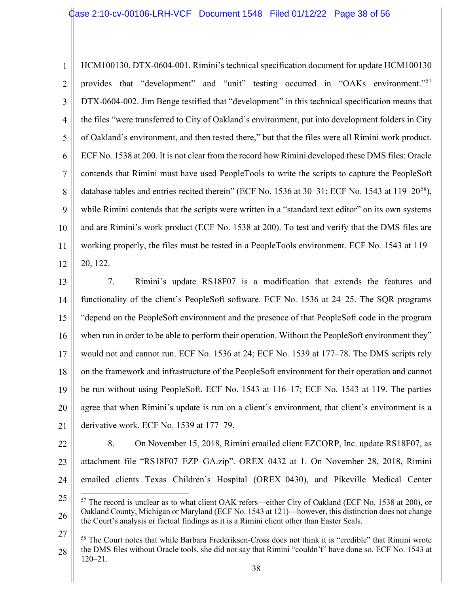1 2 3 4 5 6 7 8 9 10 11 12 HCM100130. DTX-0604-001. Rimini's technical specification document for update HCM100130 provides that "development" and "unit" testing occurred in "OAKs environment."<sup>57</sup> DTX-0604-002. Jim Benge testified that "development" in this technical specification means that the files "were transferred to City of Oakland's environment, put into development folders in City of Oakland's environment, and then tested there," but that the files were all Rimini work product. ECF No. 1538 at 200. It is not clear from the record how Rimini developed these DMS files: Oracle contends that Rimini must have used PeopleTools to write the scripts to capture the PeopleSoft database tables and entries recited therein" (ECF No. 1536 at 30–31; ECF No. 1543 at 119–20<sup>58</sup>), while Rimini contends that the scripts were written in a "standard text editor" on its own systems and are Rimini's work product (ECF No. 1538 at 200). To test and verify that the DMS files are working properly, the files must be tested in a PeopleTools environment. ECF No. 1543 at 119– 20, 122.

13 14 15 16 17 18 19 20 21 7. Rimini's update RS18F07 is a modification that extends the features and functionality of the client's PeopleSoft software. ECF No. 1536 at 24–25. The SQR programs "depend on the PeopleSoft environment and the presence of that PeopleSoft code in the program when run in order to be able to perform their operation. Without the PeopleSoft environment they" would not and cannot run. ECF No. 1536 at 24; ECF No. 1539 at 177–78. The DMS scripts rely on the framework and infrastructure of the PeopleSoft environment for their operation and cannot be run without using PeopleSoft. ECF No. 1543 at 116–17; ECF No. 1543 at 119. The parties agree that when Rimini's update is run on a client's environment, that client's environment is a derivative work. ECF No. 1539 at 177–79.

22 23 24 8. On November 15, 2018, Rimini emailed client EZCORP, Inc. update RS18F07, as attachment file "RS18F07\_EZP\_GA.zip". OREX\_0432 at 1. On November 28, 2018, Rimini emailed clients Texas Children's Hospital (OREX\_0430), and Pikeville Medical Center

<sup>25</sup> 26 <sup>57</sup> The record is unclear as to what client OAK refers—either City of Oakland (ECF No. 1538 at 200), or Oakland County, Michigan or Maryland (ECF No. 1543 at 121)—however, this distinction does not change the Court's analysis or factual findings as it is a Rimini client other than Easter Seals.

<sup>27</sup> 28 <sup>58</sup> The Court notes that while Barbara Frederiksen-Cross does not think it is "credible" that Rimini wrote the DMS files without Oracle tools, she did not say that Rimini "couldn't" have done so. ECF No. 1543 at 120–21.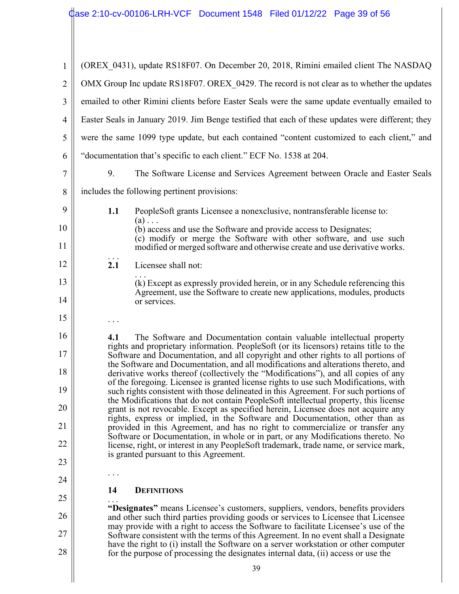$\parallel$ 

| 1              | (OREX 0431), update RS18F07. On December 20, 2018, Rimini emailed client The NASDAQ                                                                                                                                                                               |  |
|----------------|-------------------------------------------------------------------------------------------------------------------------------------------------------------------------------------------------------------------------------------------------------------------|--|
| $\overline{2}$ | OMX Group Inc update RS18F07. OREX 0429. The record is not clear as to whether the updates                                                                                                                                                                        |  |
| 3              | emailed to other Rimini clients before Easter Seals were the same update eventually emailed to                                                                                                                                                                    |  |
| $\overline{4}$ | Easter Seals in January 2019. Jim Benge testified that each of these updates were different; they                                                                                                                                                                 |  |
| 5              | were the same 1099 type update, but each contained "content customized to each client," and                                                                                                                                                                       |  |
| 6              | "documentation that's specific to each client." ECF No. 1538 at 204.                                                                                                                                                                                              |  |
| 7              | 9.<br>The Software License and Services Agreement between Oracle and Easter Seals                                                                                                                                                                                 |  |
| 8              | includes the following pertinent provisions:                                                                                                                                                                                                                      |  |
| 9              | 1.1<br>PeopleSoft grants Licensee a nonexclusive, nontransferable license to:                                                                                                                                                                                     |  |
| 10             | $(a) \ldots$<br>(b) access and use the Software and provide access to Designates;                                                                                                                                                                                 |  |
| 11             | (c) modify or merge the Software with other software, and use such<br>modified or merged software and otherwise create and use derivative works.                                                                                                                  |  |
| 12             | 2.1<br>Licensee shall not:                                                                                                                                                                                                                                        |  |
| 13             | (k) Except as expressly provided herein, or in any Schedule referencing this<br>Agreement, use the Software to create new applications, modules, products                                                                                                         |  |
| 14             | or services.                                                                                                                                                                                                                                                      |  |
| 15             |                                                                                                                                                                                                                                                                   |  |
| 16             | The Software and Documentation contain valuable intellectual property<br>4.1<br>rights and proprietary information. PeopleSoft (or its licensors) retains title to the                                                                                            |  |
| 17             | Software and Documentation, and all copyright and other rights to all portions of<br>the Software and Documentation, and all modifications and alterations thereto, and                                                                                           |  |
| 18             | derivative works thereof (collectively the "Modifications"), and all copies of any<br>of the foregoing. Licensee is granted license rights to use such Modifications, with                                                                                        |  |
| 19             | such rights consistent with those delineated in this Agreement. For such portions of<br>the Modifications that do not contain PeopleSoft intellectual property, this license                                                                                      |  |
| 20             | grant is not revocable. Except as specified herein, Licensee does not acquire any<br>rights, express or implied, in the Software and Documentation, other than as                                                                                                 |  |
| 21             | provided in this Agreement, and has no right to commercialize or transfer any<br>Software or Documentation, in whole or in part, or any Modifications thereto. No                                                                                                 |  |
| 22             | license, right, or interest in any PeopleSoft trademark, trade name, or service mark,<br>is granted pursuant to this Agreement.                                                                                                                                   |  |
| 23             |                                                                                                                                                                                                                                                                   |  |
| 24             | 14<br><b>DEFINITIONS</b>                                                                                                                                                                                                                                          |  |
| 25             | "Designates" means Licensee's customers, suppliers, vendors, benefits providers                                                                                                                                                                                   |  |
| 26<br>27       | and other such third parties providing goods or services to Licensee that Licensee<br>may provide with a right to access the Software to facilitate Licensee's use of the                                                                                         |  |
| 28             | Software consistent with the terms of this Agreement. In no event shall a Designate<br>have the right to (i) install the Software on a server workstation or other computer<br>for the purpose of processing the designates internal data, (ii) access or use the |  |
|                | 39                                                                                                                                                                                                                                                                |  |
|                |                                                                                                                                                                                                                                                                   |  |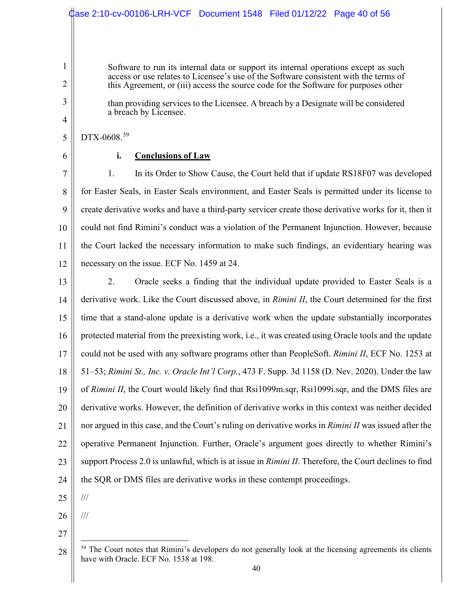|                | Case 2:10-cv-00106-LRH-VCF Document 1548 Filed 01/12/22 Page 40 of 56                                                                                                       |
|----------------|-----------------------------------------------------------------------------------------------------------------------------------------------------------------------------|
|                |                                                                                                                                                                             |
|                |                                                                                                                                                                             |
| 1              | Software to run its internal data or support its internal operations except as such<br>access or use relates to Licensee's use of the Software consistent with the terms of |
| 2              | this Agreement, or (iii) access the source code for the Software for purposes other                                                                                         |
| 3              | than providing services to the Licensee. A breach by a Designate will be considered<br>a breach by Licensee.                                                                |
| $\overline{4}$ |                                                                                                                                                                             |
| 5              | DTX-0608.59                                                                                                                                                                 |
| 6              | <b>Conclusions of Law</b><br>i.                                                                                                                                             |
| 7              | In its Order to Show Cause, the Court held that if update RS18F07 was developed<br>1.                                                                                       |
| 8              | for Easter Seals, in Easter Seals environment, and Easter Seals is permitted under its license to                                                                           |
| 9              | create derivative works and have a third-party servicer create those derivative works for it, then it                                                                       |
| 10             | could not find Rimini's conduct was a violation of the Permanent Injunction. However, because                                                                               |
| 11             | the Court lacked the necessary information to make such findings, an evidentiary hearing was                                                                                |
| 12             | necessary on the issue. ECF No. 1459 at 24.                                                                                                                                 |
| 13             | 2.<br>Oracle seeks a finding that the individual update provided to Easter Seals is a                                                                                       |
| 14             | derivative work. Like the Court discussed above, in Rimini II, the Court determined for the first                                                                           |
| 15             | time that a stand-alone update is a derivative work when the update substantially incorporates                                                                              |
| 16             | protected material from the preexisting work, i.e., it was created using Oracle tools and the update                                                                        |
| 17             | could not be used with any software programs other than PeopleSoft. Rimini II, ECF No. 1253 at                                                                              |
| 18             | 51–53; Rimini St., Inc. v. Oracle Int'l Corp., 473 F. Supp. 3d 1158 (D. Nev. 2020). Under the law                                                                           |
| 19             | of Rimini II, the Court would likely find that Rsi1099m.sqr, Rsi1099i.sqr, and the DMS files are                                                                            |
| 20             | derivative works. However, the definition of derivative works in this context was neither decided                                                                           |
| 21             | nor argued in this case, and the Court's ruling on derivative works in Rimini II was issued after the                                                                       |
| 22             | operative Permanent Injunction. Further, Oracle's argument goes directly to whether Rimini's                                                                                |
| 23             | support Process 2.0 is unlawful, which is at issue in <i>Rimini II</i> . Therefore, the Court declines to find                                                              |
| 24             | the SQR or DMS files are derivative works in these contempt proceedings.                                                                                                    |
| 25             | $/ \! / \! /$                                                                                                                                                               |
| 26             | $/ \! / \! /$                                                                                                                                                               |
| 27             |                                                                                                                                                                             |

<sup>28</sup>  $59$  The Court notes that Rimini's developers do not generally look at the licensing agreements its clients have with Oracle. ECF No. 1538 at 198.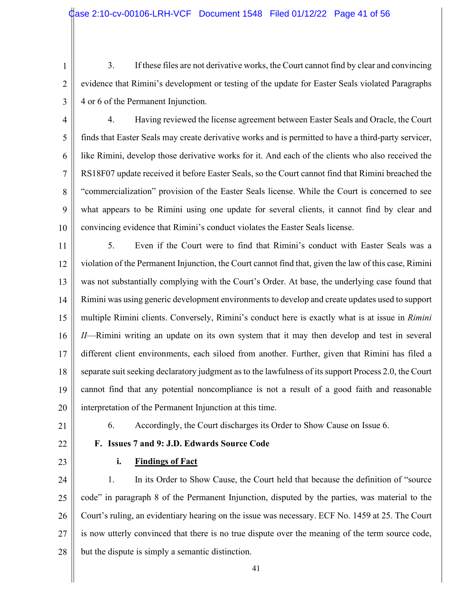3. If these files are not derivative works, the Court cannot find by clear and convincing evidence that Rimini's development or testing of the update for Easter Seals violated Paragraphs 4 or 6 of the Permanent Injunction.

3

4 5 6 7 8 9 10 4. Having reviewed the license agreement between Easter Seals and Oracle, the Court finds that Easter Seals may create derivative works and is permitted to have a third-party servicer, like Rimini, develop those derivative works for it. And each of the clients who also received the RS18F07 update received it before Easter Seals, so the Court cannot find that Rimini breached the "commercialization" provision of the Easter Seals license. While the Court is concerned to see what appears to be Rimini using one update for several clients, it cannot find by clear and convincing evidence that Rimini's conduct violates the Easter Seals license.

11 12 13 14 15 16 17 18 19 20 5. Even if the Court were to find that Rimini's conduct with Easter Seals was a violation of the Permanent Injunction, the Court cannot find that, given the law of this case, Rimini was not substantially complying with the Court's Order. At base, the underlying case found that Rimini was using generic development environments to develop and create updates used to support multiple Rimini clients. Conversely, Rimini's conduct here is exactly what is at issue in *Rimini II*—Rimini writing an update on its own system that it may then develop and test in several different client environments, each siloed from another. Further, given that Rimini has filed a separate suit seeking declaratory judgment as to the lawfulness of its support Process 2.0, the Court cannot find that any potential noncompliance is not a result of a good faith and reasonable interpretation of the Permanent Injunction at this time.

21

6. Accordingly, the Court discharges its Order to Show Cause on Issue 6.

22

23

# **i. Findings of Fact**

**F. Issues 7 and 9: J.D. Edwards Source Code**

24 25 26 27 28 1. In its Order to Show Cause, the Court held that because the definition of "source code" in paragraph 8 of the Permanent Injunction, disputed by the parties, was material to the Court's ruling, an evidentiary hearing on the issue was necessary. ECF No. 1459 at 25. The Court is now utterly convinced that there is no true dispute over the meaning of the term source code, but the dispute is simply a semantic distinction.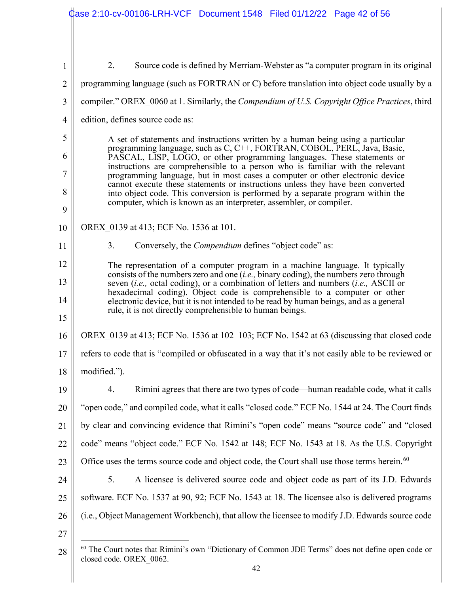|                | Case 2:10-cv-00106-LRH-VCF Document 1548 Filed 01/12/22 Page 42 of 56                                                                                                                                                                                                                                                                                                                                       |  |  |  |  |  |  |
|----------------|-------------------------------------------------------------------------------------------------------------------------------------------------------------------------------------------------------------------------------------------------------------------------------------------------------------------------------------------------------------------------------------------------------------|--|--|--|--|--|--|
|                |                                                                                                                                                                                                                                                                                                                                                                                                             |  |  |  |  |  |  |
| $\mathbf{1}$   | 2.<br>Source code is defined by Merriam-Webster as "a computer program in its original                                                                                                                                                                                                                                                                                                                      |  |  |  |  |  |  |
| $\overline{2}$ | programming language (such as FORTRAN or C) before translation into object code usually by a                                                                                                                                                                                                                                                                                                                |  |  |  |  |  |  |
| 3              | compiler." OREX 0060 at 1. Similarly, the Compendium of U.S. Copyright Office Practices, third                                                                                                                                                                                                                                                                                                              |  |  |  |  |  |  |
| $\overline{4}$ | edition, defines source code as:                                                                                                                                                                                                                                                                                                                                                                            |  |  |  |  |  |  |
| 5              | A set of statements and instructions written by a human being using a particular                                                                                                                                                                                                                                                                                                                            |  |  |  |  |  |  |
| 6              | programming language, such as C, C++, FORTRAN, COBOL, PERL, Java, Basic,<br>PASCAL, LISP, LOGO, or other programming languages. These statements or                                                                                                                                                                                                                                                         |  |  |  |  |  |  |
| 7              | instructions are comprehensible to a person who is familiar with the relevant<br>programming language, but in most cases a computer or other electronic device<br>cannot execute these statements or instructions unless they have been converted<br>into object code. This conversion is performed by a separate program within the<br>computer, which is known as an interpreter, assembler, or compiler. |  |  |  |  |  |  |
| 8              |                                                                                                                                                                                                                                                                                                                                                                                                             |  |  |  |  |  |  |
| 9              |                                                                                                                                                                                                                                                                                                                                                                                                             |  |  |  |  |  |  |
| 10             | OREX 0139 at 413; ECF No. 1536 at 101.                                                                                                                                                                                                                                                                                                                                                                      |  |  |  |  |  |  |
| 11             | 3.<br>Conversely, the <i>Compendium</i> defines "object code" as:                                                                                                                                                                                                                                                                                                                                           |  |  |  |  |  |  |
| 12             | The representation of a computer program in a machine language. It typically                                                                                                                                                                                                                                                                                                                                |  |  |  |  |  |  |
| 13             | consists of the numbers zero and one $(i.e., binary coding)$ , the numbers zero through<br>seven (i.e., octal coding), or a combination of letters and numbers (i.e., ASCII or                                                                                                                                                                                                                              |  |  |  |  |  |  |
| 14             | hexadecimal coding). Object code is comprehensible to a computer or other<br>electronic device, but it is not intended to be read by human beings, and as a general                                                                                                                                                                                                                                         |  |  |  |  |  |  |
| 15             | rule, it is not directly comprehensible to human beings.                                                                                                                                                                                                                                                                                                                                                    |  |  |  |  |  |  |
| 16             | OREX 0139 at 413; ECF No. 1536 at 102–103; ECF No. 1542 at 63 (discussing that closed code                                                                                                                                                                                                                                                                                                                  |  |  |  |  |  |  |
| 17             | refers to code that is "compiled or obfuscated in a way that it's not easily able to be reviewed or                                                                                                                                                                                                                                                                                                         |  |  |  |  |  |  |
| 18             | modified.").                                                                                                                                                                                                                                                                                                                                                                                                |  |  |  |  |  |  |
| 19             | 4.<br>Rimini agrees that there are two types of code—human readable code, what it calls                                                                                                                                                                                                                                                                                                                     |  |  |  |  |  |  |
| 20             | "open code," and compiled code, what it calls "closed code." ECF No. 1544 at 24. The Court finds                                                                                                                                                                                                                                                                                                            |  |  |  |  |  |  |
| 21             | by clear and convincing evidence that Rimini's "open code" means "source code" and "closed                                                                                                                                                                                                                                                                                                                  |  |  |  |  |  |  |
| 22             | code" means "object code." ECF No. 1542 at 148; ECF No. 1543 at 18. As the U.S. Copyright                                                                                                                                                                                                                                                                                                                   |  |  |  |  |  |  |
| 23             | Office uses the terms source code and object code, the Court shall use those terms herein. <sup>60</sup>                                                                                                                                                                                                                                                                                                    |  |  |  |  |  |  |
| 24             | 5.<br>A licensee is delivered source code and object code as part of its J.D. Edwards                                                                                                                                                                                                                                                                                                                       |  |  |  |  |  |  |
| 25             | software. ECF No. 1537 at 90, 92; ECF No. 1543 at 18. The licensee also is delivered programs                                                                                                                                                                                                                                                                                                               |  |  |  |  |  |  |
| 26             | (i.e., Object Management Workbench), that allow the licensee to modify J.D. Edwards source code                                                                                                                                                                                                                                                                                                             |  |  |  |  |  |  |
| 27             |                                                                                                                                                                                                                                                                                                                                                                                                             |  |  |  |  |  |  |
| 28             | <sup>60</sup> The Court notes that Rimini's own "Dictionary of Common JDE Terms" does not define open code or<br>closed code. OREX 0062.                                                                                                                                                                                                                                                                    |  |  |  |  |  |  |

 $\mathbb{I}$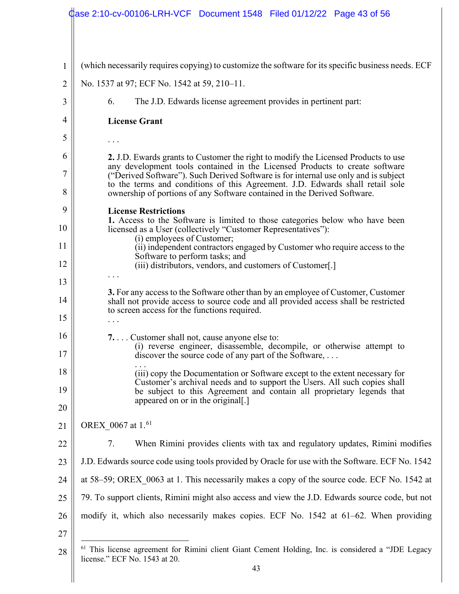|                | Case 2:10-cv-00106-LRH-VCF Document 1548 Filed 01/12/22 Page 43 of 56                                                                                                |  |  |  |  |  |  |  |
|----------------|----------------------------------------------------------------------------------------------------------------------------------------------------------------------|--|--|--|--|--|--|--|
|                |                                                                                                                                                                      |  |  |  |  |  |  |  |
| $\mathbf{1}$   | (which necessarily requires copying) to customize the software for its specific business needs. ECF                                                                  |  |  |  |  |  |  |  |
| $\overline{2}$ | No. 1537 at 97; ECF No. 1542 at 59, 210-11.                                                                                                                          |  |  |  |  |  |  |  |
| 3              | The J.D. Edwards license agreement provides in pertinent part:<br>6.                                                                                                 |  |  |  |  |  |  |  |
| $\overline{4}$ | <b>License Grant</b>                                                                                                                                                 |  |  |  |  |  |  |  |
| 5              |                                                                                                                                                                      |  |  |  |  |  |  |  |
| 6              | 2. J.D. Ewards grants to Customer the right to modify the Licensed Products to use<br>any development tools contained in the Licensed Products to create software    |  |  |  |  |  |  |  |
| 7              | ("Derived Software"). Such Derived Software is for internal use only and is subject<br>to the terms and conditions of this Agreement. J.D. Edwards shall retail sole |  |  |  |  |  |  |  |
| 8              | ownership of portions of any Software contained in the Derived Software.                                                                                             |  |  |  |  |  |  |  |
| 9              | <b>License Restrictions</b><br>1. Access to the Software is limited to those categories below who have been                                                          |  |  |  |  |  |  |  |
| 10             | licensed as a User (collectively "Customer Representatives"):<br>(i) employees of Customer;                                                                          |  |  |  |  |  |  |  |
| 11             | (ii) independent contractors engaged by Customer who require access to the<br>Software to perform tasks; and                                                         |  |  |  |  |  |  |  |
| 12             | (iii) distributors, vendors, and customers of Customer[.]                                                                                                            |  |  |  |  |  |  |  |
| 13             | 3. For any access to the Software other than by an employee of Customer, Customer                                                                                    |  |  |  |  |  |  |  |
| 14             | shall not provide access to source code and all provided access shall be restricted<br>to screen access for the functions required.                                  |  |  |  |  |  |  |  |
| 15             |                                                                                                                                                                      |  |  |  |  |  |  |  |
| 16             | 7. Customer shall not, cause anyone else to:<br>(i) reverse engineer, disassemble, decompile, or otherwise attempt to                                                |  |  |  |  |  |  |  |
| 17             | discover the source code of any part of the Software,                                                                                                                |  |  |  |  |  |  |  |
| 18             | (iii) copy the Documentation or Software except to the extent necessary for<br>Customer's archival needs and to support the Users. All such copies shall             |  |  |  |  |  |  |  |
| 19             | be subject to this Agreement and contain all proprietary legends that<br>appeared on or in the original.]                                                            |  |  |  |  |  |  |  |
| 20             |                                                                                                                                                                      |  |  |  |  |  |  |  |
| 21             | OREX 0067 at 1. <sup>61</sup>                                                                                                                                        |  |  |  |  |  |  |  |
| 22             | 7.<br>When Rimini provides clients with tax and regulatory updates, Rimini modifies                                                                                  |  |  |  |  |  |  |  |
| 23             | J.D. Edwards source code using tools provided by Oracle for use with the Software. ECF No. 1542                                                                      |  |  |  |  |  |  |  |
| 24             | at 58–59; OREX 0063 at 1. This necessarily makes a copy of the source code. ECF No. 1542 at                                                                          |  |  |  |  |  |  |  |
| 25             | 79. To support clients, Rimini might also access and view the J.D. Edwards source code, but not                                                                      |  |  |  |  |  |  |  |
| 26             | modify it, which also necessarily makes copies. ECF No. 1542 at 61–62. When providing                                                                                |  |  |  |  |  |  |  |
| 27             |                                                                                                                                                                      |  |  |  |  |  |  |  |
| 28             | <sup>61</sup> This license agreement for Rimini client Giant Cement Holding, Inc. is considered a "JDE Legacy<br>license." ECF No. 1543 at 20.                       |  |  |  |  |  |  |  |

 $\begin{array}{c} \hline \end{array}$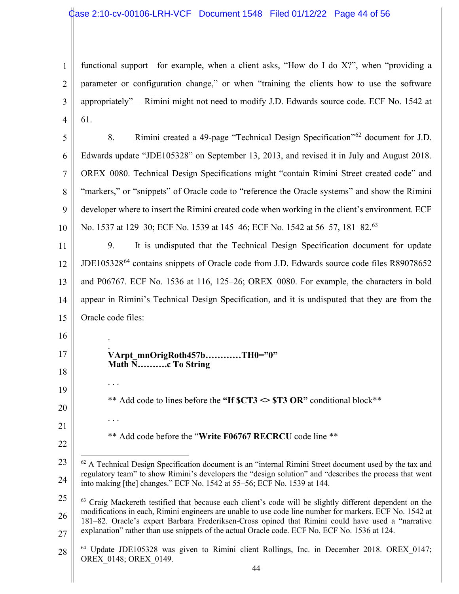1 2 3 4 functional support—for example, when a client asks, "How do I do X?", when "providing a parameter or configuration change," or when "training the clients how to use the software appropriately"— Rimini might not need to modify J.D. Edwards source code. ECF No. 1542 at 61.

5 6 7 8 9 10 8. Rimini created a 49-page "Technical Design Specification"<sup>62</sup> document for J.D. Edwards update "JDE105328" on September 13, 2013, and revised it in July and August 2018. OREX\_0080. Technical Design Specifications might "contain Rimini Street created code" and "markers," or "snippets" of Oracle code to "reference the Oracle systems" and show the Rimini developer where to insert the Rimini created code when working in the client's environment. ECF No. 1537 at 129–30; ECF No. 1539 at 145–46; ECF No. 1542 at 56–57, 181–82.<sup>63</sup>

11 12 13 14 15 9. It is undisputed that the Technical Design Specification document for update JDE105328<sup>64</sup> contains snippets of Oracle code from J.D. Edwards source code files R89078652 and P06767. ECF No. 1536 at 116, 125–26; OREX\_0080. For example, the characters in bold appear in Rimini's Technical Design Specification, and it is undisputed that they are from the Oracle code files:

. **VArpt\_mnOrigRoth457b…………TH0="0" Math N……….c To String**

\*\* Add code to lines before the "If  $CTS \gg ST3$  OR" conditional block<sup>\*\*</sup>

21 22

16

.

. . .

. . .

17

18

19

20

\*\* Add code before the "**Write F06767 RECRCU** code line \*\*

<sup>23</sup> 24  $62$  A Technical Design Specification document is an "internal Rimini Street document used by the tax and regulatory team" to show Rimini's developers the "design solution" and "describes the process that went into making [the] changes." ECF No. 1542 at 55–56; ECF No. 1539 at 144.

<sup>25</sup> 26 27 <sup>63</sup> Craig Mackereth testified that because each client's code will be slightly different dependent on the modifications in each, Rimini engineers are unable to use code line number for markers. ECF No. 1542 at 181–82. Oracle's expert Barbara Frederiksen-Cross opined that Rimini could have used a "narrative explanation" rather than use snippets of the actual Oracle code. ECF No. ECF No. 1536 at 124.

<sup>28</sup> <sup>64</sup> Update JDE105328 was given to Rimini client Rollings, Inc. in December 2018. OREX\_0147; OREX\_0148; OREX\_0149.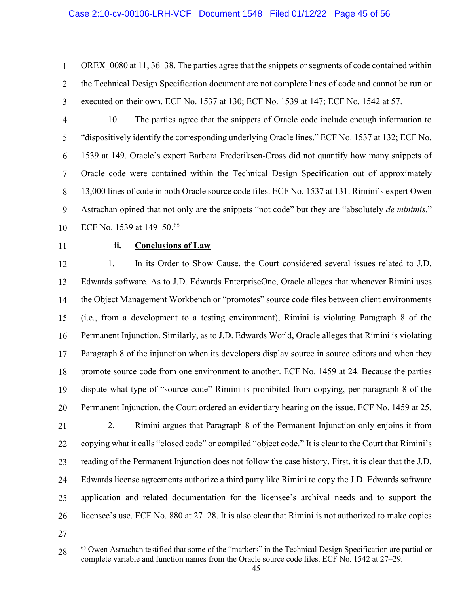1 2 3 OREX 0080 at 11, 36–38. The parties agree that the snippets or segments of code contained within the Technical Design Specification document are not complete lines of code and cannot be run or executed on their own. ECF No. 1537 at 130; ECF No. 1539 at 147; ECF No. 1542 at 57.

4 5 6 7 8 9 10 10. The parties agree that the snippets of Oracle code include enough information to "dispositively identify the corresponding underlying Oracle lines." ECF No. 1537 at 132; ECF No. 1539 at 149. Oracle's expert Barbara Frederiksen-Cross did not quantify how many snippets of Oracle code were contained within the Technical Design Specification out of approximately 13,000 lines of code in both Oracle source code files. ECF No. 1537 at 131. Rimini's expert Owen Astrachan opined that not only are the snippets "not code" but they are "absolutely *de minimis.*" ECF No. 1539 at 149–50.<sup>65</sup>

11

#### **ii. Conclusions of Law**

12 13 14 15 16 17 18 19 20 21 22 23 24 25 26 1. In its Order to Show Cause, the Court considered several issues related to J.D. Edwards software. As to J.D. Edwards EnterpriseOne, Oracle alleges that whenever Rimini uses the Object Management Workbench or "promotes" source code files between client environments (i.e., from a development to a testing environment), Rimini is violating Paragraph 8 of the Permanent Injunction. Similarly, as to J.D. Edwards World, Oracle alleges that Rimini is violating Paragraph 8 of the injunction when its developers display source in source editors and when they promote source code from one environment to another. ECF No. 1459 at 24. Because the parties dispute what type of "source code" Rimini is prohibited from copying, per paragraph 8 of the Permanent Injunction, the Court ordered an evidentiary hearing on the issue. ECF No. 1459 at 25. 2. Rimini argues that Paragraph 8 of the Permanent Injunction only enjoins it from copying what it calls "closed code" or compiled "object code." It is clear to the Court that Rimini's reading of the Permanent Injunction does not follow the case history. First, it is clear that the J.D. Edwards license agreements authorize a third party like Rimini to copy the J.D. Edwards software application and related documentation for the licensee's archival needs and to support the licensee's use. ECF No. 880 at 27–28. It is also clear that Rimini is not authorized to make copies

<sup>28</sup> <sup>65</sup> Owen Astrachan testified that some of the "markers" in the Technical Design Specification are partial or complete variable and function names from the Oracle source code files. ECF No. 1542 at 27–29.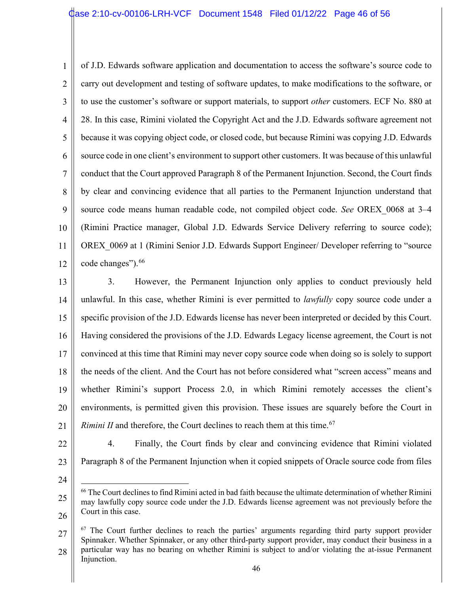1 2 3 4 5 6 7 8 9 10 11 12 of J.D. Edwards software application and documentation to access the software's source code to carry out development and testing of software updates, to make modifications to the software, or to use the customer's software or support materials, to support *other* customers. ECF No. 880 at 28. In this case, Rimini violated the Copyright Act and the J.D. Edwards software agreement not because it was copying object code, or closed code, but because Rimini was copying J.D. Edwards source code in one client's environment to support other customers. It was because of this unlawful conduct that the Court approved Paragraph 8 of the Permanent Injunction. Second, the Court finds by clear and convincing evidence that all parties to the Permanent Injunction understand that source code means human readable code, not compiled object code. *See* OREX\_0068 at 3–4 (Rimini Practice manager, Global J.D. Edwards Service Delivery referring to source code); OREX 0069 at 1 (Rimini Senior J.D. Edwards Support Engineer/ Developer referring to "source code changes"). 66

13 14 15 16 17 18 19 20 21 3. However, the Permanent Injunction only applies to conduct previously held unlawful. In this case, whether Rimini is ever permitted to *lawfully* copy source code under a specific provision of the J.D. Edwards license has never been interpreted or decided by this Court. Having considered the provisions of the J.D. Edwards Legacy license agreement, the Court is not convinced at this time that Rimini may never copy source code when doing so is solely to support the needs of the client. And the Court has not before considered what "screen access" means and whether Rimini's support Process 2.0, in which Rimini remotely accesses the client's environments, is permitted given this provision. These issues are squarely before the Court in *Rimini II* and therefore, the Court declines to reach them at this time.<sup>67</sup>

- 22
- 4. Finally, the Court finds by clear and convincing evidence that Rimini violated Paragraph 8 of the Permanent Injunction when it copied snippets of Oracle source code from files
- 24

<sup>25</sup> 26 <sup>66</sup> The Court declines to find Rimini acted in bad faith because the ultimate determination of whether Rimini may lawfully copy source code under the J.D. Edwards license agreement was not previously before the Court in this case.

<sup>27</sup> 28  $67$  The Court further declines to reach the parties' arguments regarding third party support provider Spinnaker. Whether Spinnaker, or any other third-party support provider, may conduct their business in a particular way has no bearing on whether Rimini is subject to and/or violating the at-issue Permanent Injunction.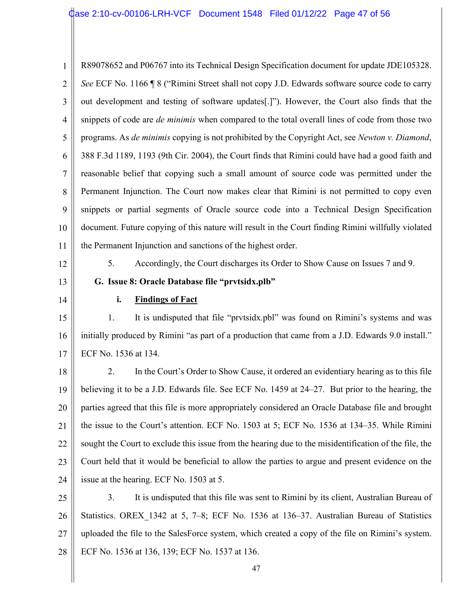1 2 3 4 5 6 7 8 9 10 11 R89078652 and P06767 into its Technical Design Specification document for update JDE105328. *See* ECF No. 1166 ¶ 8 ("Rimini Street shall not copy J.D. Edwards software source code to carry out development and testing of software updates[.]"). However, the Court also finds that the snippets of code are *de minimis* when compared to the total overall lines of code from those two programs. As *de minimis* copying is not prohibited by the Copyright Act, see *Newton v. Diamond*, 388 F.3d 1189, 1193 (9th Cir. 2004), the Court finds that Rimini could have had a good faith and reasonable belief that copying such a small amount of source code was permitted under the Permanent Injunction. The Court now makes clear that Rimini is not permitted to copy even snippets or partial segments of Oracle source code into a Technical Design Specification document. Future copying of this nature will result in the Court finding Rimini willfully violated the Permanent Injunction and sanctions of the highest order.

- 12
- 13

14

5. Accordingly, the Court discharges its Order to Show Cause on Issues 7 and 9.

**G. Issue 8: Oracle Database file "prvtsidx.plb"**

**i. Findings of Fact** 

15 16 17 1. It is undisputed that file "prvtsidx.pbl" was found on Rimini's systems and was initially produced by Rimini "as part of a production that came from a J.D. Edwards 9.0 install." ECF No. 1536 at 134.

18 19 20 21 22 23 24 2. In the Court's Order to Show Cause, it ordered an evidentiary hearing as to this file believing it to be a J.D. Edwards file. See ECF No. 1459 at 24–27. But prior to the hearing, the parties agreed that this file is more appropriately considered an Oracle Database file and brought the issue to the Court's attention. ECF No. 1503 at 5; ECF No. 1536 at 134–35. While Rimini sought the Court to exclude this issue from the hearing due to the misidentification of the file, the Court held that it would be beneficial to allow the parties to argue and present evidence on the issue at the hearing. ECF No. 1503 at 5.

25 26 27 28 3. It is undisputed that this file was sent to Rimini by its client, Australian Bureau of Statistics. OREX 1342 at 5, 7–8; ECF No. 1536 at 136–37. Australian Bureau of Statistics uploaded the file to the SalesForce system, which created a copy of the file on Rimini's system. ECF No. 1536 at 136, 139; ECF No. 1537 at 136.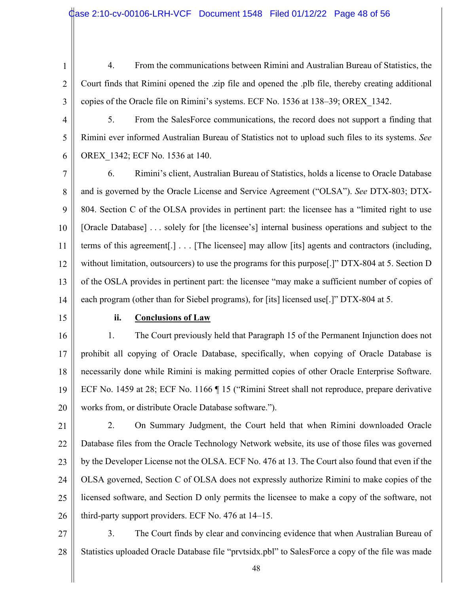4. From the communications between Rimini and Australian Bureau of Statistics, the Court finds that Rimini opened the .zip file and opened the .plb file, thereby creating additional copies of the Oracle file on Rimini's systems. ECF No. 1536 at 138–39; OREX\_1342.

3 4

5

6

5. From the SalesForce communications, the record does not support a finding that Rimini ever informed Australian Bureau of Statistics not to upload such files to its systems. *See* OREX\_1342; ECF No. 1536 at 140.

7 8 9 10 11 12 13 14 6. Rimini's client, Australian Bureau of Statistics, holds a license to Oracle Database and is governed by the Oracle License and Service Agreement ("OLSA"). *See* DTX-803; DTX-804. Section C of the OLSA provides in pertinent part: the licensee has a "limited right to use [Oracle Database] . . . solely for [the licensee's] internal business operations and subject to the terms of this agreement[.] . . . [The licensee] may allow [its] agents and contractors (including, without limitation, outsourcers) to use the programs for this purpose<sup>[1]</sup> DTX-804 at 5. Section D of the OSLA provides in pertinent part: the licensee "may make a sufficient number of copies of each program (other than for Siebel programs), for [its] licensed use[.]" DTX-804 at 5.

15

#### **ii. Conclusions of Law**

16 17 18 19 20 1. The Court previously held that Paragraph 15 of the Permanent Injunction does not prohibit all copying of Oracle Database, specifically, when copying of Oracle Database is necessarily done while Rimini is making permitted copies of other Oracle Enterprise Software. ECF No. 1459 at 28; ECF No. 1166 ¶ 15 ("Rimini Street shall not reproduce, prepare derivative works from, or distribute Oracle Database software.").

21 22 23 24 25 26 2. On Summary Judgment, the Court held that when Rimini downloaded Oracle Database files from the Oracle Technology Network website, its use of those files was governed by the Developer License not the OLSA. ECF No. 476 at 13. The Court also found that even if the OLSA governed, Section C of OLSA does not expressly authorize Rimini to make copies of the licensed software, and Section D only permits the licensee to make a copy of the software, not third-party support providers. ECF No. 476 at 14–15.

27 28 3. The Court finds by clear and convincing evidence that when Australian Bureau of Statistics uploaded Oracle Database file "prvtsidx.pbl" to SalesForce a copy of the file was made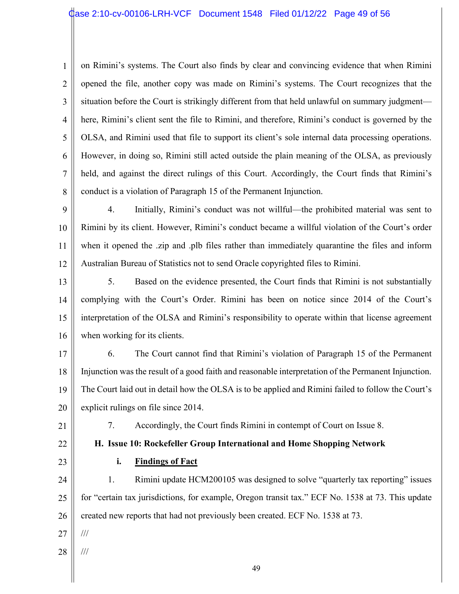#### Case 2:10-cv-00106-LRH-VCF Document 1548 Filed 01/12/22 Page 49 of 56

1 2 3 4 5 6 7 8 on Rimini's systems. The Court also finds by clear and convincing evidence that when Rimini opened the file, another copy was made on Rimini's systems. The Court recognizes that the situation before the Court is strikingly different from that held unlawful on summary judgment here, Rimini's client sent the file to Rimini, and therefore, Rimini's conduct is governed by the OLSA, and Rimini used that file to support its client's sole internal data processing operations. However, in doing so, Rimini still acted outside the plain meaning of the OLSA, as previously held, and against the direct rulings of this Court. Accordingly, the Court finds that Rimini's conduct is a violation of Paragraph 15 of the Permanent Injunction.

9 10 11 12 4. Initially, Rimini's conduct was not willful—the prohibited material was sent to Rimini by its client. However, Rimini's conduct became a willful violation of the Court's order when it opened the .zip and .plb files rather than immediately quarantine the files and inform Australian Bureau of Statistics not to send Oracle copyrighted files to Rimini.

13 14 15 16 5. Based on the evidence presented, the Court finds that Rimini is not substantially complying with the Court's Order. Rimini has been on notice since 2014 of the Court's interpretation of the OLSA and Rimini's responsibility to operate within that license agreement when working for its clients.

17

18

19

20

6. The Court cannot find that Rimini's violation of Paragraph 15 of the Permanent Injunction was the result of a good faith and reasonable interpretation of the Permanent Injunction. The Court laid out in detail how the OLSA is to be applied and Rimini failed to follow the Court's explicit rulings on file since 2014.

21

7. Accordingly, the Court finds Rimini in contempt of Court on Issue 8.

**H. Issue 10: Rockefeller Group International and Home Shopping Network**

22 23

## **i. Findings of Fact**

24 25 26 1. Rimini update HCM200105 was designed to solve "quarterly tax reporting" issues for "certain tax jurisdictions, for example, Oregon transit tax." ECF No. 1538 at 73. This update created new reports that had not previously been created. ECF No. 1538 at 73.

27 ///

28 ///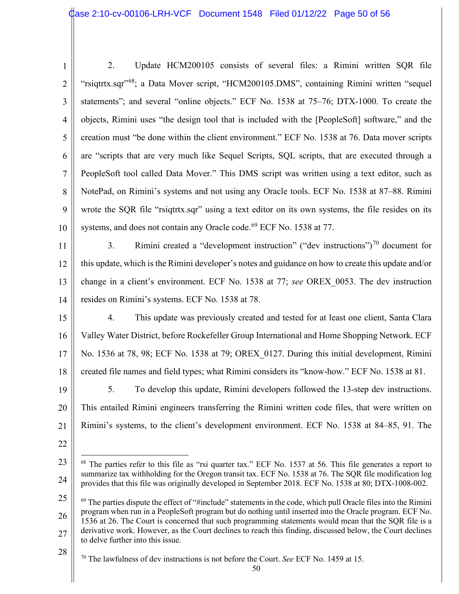- 1 2 3 4 5 6 7 8 9 10 2. Update HCM200105 consists of several files: a Rimini written SQR file "rsiqtrtx.sqr"<sup>68</sup>; a Data Mover script, "HCM200105.DMS", containing Rimini written "sequel statements"; and several "online objects." ECF No. 1538 at 75–76; DTX-1000. To create the objects, Rimini uses "the design tool that is included with the [PeopleSoft] software," and the creation must "be done within the client environment." ECF No. 1538 at 76. Data mover scripts are "scripts that are very much like Sequel Scripts, SQL scripts, that are executed through a PeopleSoft tool called Data Mover." This DMS script was written using a text editor, such as NotePad, on Rimini's systems and not using any Oracle tools. ECF No. 1538 at 87–88. Rimini wrote the SQR file "rsiqtrtx.sqr" using a text editor on its own systems, the file resides on its systems, and does not contain any Oracle code.<sup>69</sup> ECF No. 1538 at 77.
- 11 12 13 14 3. Rimini created a "development instruction" ("dev instructions") $70$  document for this update, which is the Rimini developer's notes and guidance on how to create this update and/or change in a client's environment. ECF No. 1538 at 77; *see* OREX\_0053. The dev instruction resides on Rimini's systems. ECF No. 1538 at 78.
- 15 16 17 18 19 4. This update was previously created and tested for at least one client, Santa Clara Valley Water District, before Rockefeller Group International and Home Shopping Network. ECF No. 1536 at 78, 98; ECF No. 1538 at 79; OREX\_0127. During this initial development, Rimini created file names and field types; what Rimini considers its "know-how." ECF No. 1538 at 81. 5. To develop this update, Rimini developers followed the 13-step dev instructions.
- 20 21 This entailed Rimini engineers transferring the Rimini written code files, that were written on Rimini's systems, to the client's development environment. ECF No. 1538 at 84–85, 91. The
- 22

<sup>23</sup> 24 <sup>68</sup> The parties refer to this file as "rsi quarter tax." ECF No. 1537 at 56. This file generates a report to summarize tax withholding for the Oregon transit tax. ECF No. 1538 at 76. The SQR file modification log provides that this file was originally developed in September 2018. ECF No. 1538 at 80; DTX-1008-002.

<sup>25</sup> 26 27  $69$  The parties dispute the effect of "#include" statements in the code, which pull Oracle files into the Rimini program when run in a PeopleSoft program but do nothing until inserted into the Oracle program. ECF No. 1536 at 26. The Court is concerned that such programming statements would mean that the SQR file is a derivative work. However, as the Court declines to reach this finding, discussed below, the Court declines to delve further into this issue.

<sup>28</sup>

<sup>70</sup> The lawfulness of dev instructions is not before the Court. *See* ECF No. 1459 at 15.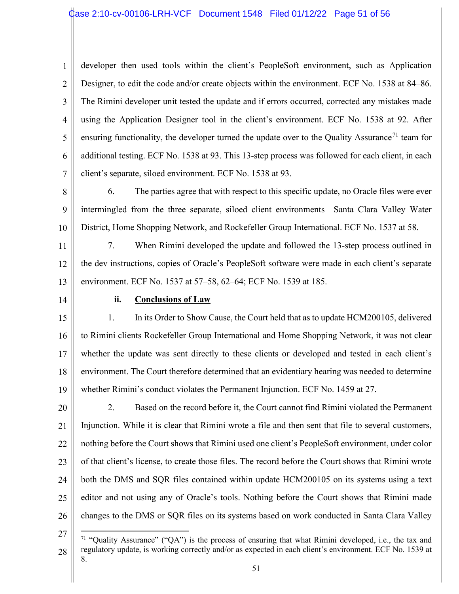1 2 3 4 5 6 7 developer then used tools within the client's PeopleSoft environment, such as Application Designer, to edit the code and/or create objects within the environment. ECF No. 1538 at 84–86. The Rimini developer unit tested the update and if errors occurred, corrected any mistakes made using the Application Designer tool in the client's environment. ECF No. 1538 at 92. After ensuring functionality, the developer turned the update over to the Quality Assurance<sup>71</sup> team for additional testing. ECF No. 1538 at 93. This 13-step process was followed for each client, in each client's separate, siloed environment. ECF No. 1538 at 93.

8 9 10 6. The parties agree that with respect to this specific update, no Oracle files were ever intermingled from the three separate, siloed client environments—Santa Clara Valley Water District, Home Shopping Network, and Rockefeller Group International. ECF No. 1537 at 58.

11 12 13 7. When Rimini developed the update and followed the 13-step process outlined in the dev instructions, copies of Oracle's PeopleSoft software were made in each client's separate environment. ECF No. 1537 at 57–58, 62–64; ECF No. 1539 at 185.

14

#### **ii. Conclusions of Law**

15 16 17 18 19 1. In its Order to Show Cause, the Court held that as to update HCM200105, delivered to Rimini clients Rockefeller Group International and Home Shopping Network, it was not clear whether the update was sent directly to these clients or developed and tested in each client's environment. The Court therefore determined that an evidentiary hearing was needed to determine whether Rimini's conduct violates the Permanent Injunction. ECF No. 1459 at 27.

20 21 22 23 24 25 26 2. Based on the record before it, the Court cannot find Rimini violated the Permanent Injunction. While it is clear that Rimini wrote a file and then sent that file to several customers, nothing before the Court shows that Rimini used one client's PeopleSoft environment, under color of that client's license, to create those files. The record before the Court shows that Rimini wrote both the DMS and SQR files contained within update HCM200105 on its systems using a text editor and not using any of Oracle's tools. Nothing before the Court shows that Rimini made changes to the DMS or SQR files on its systems based on work conducted in Santa Clara Valley

<sup>27</sup>

<sup>28</sup> <sup>71</sup> "Quality Assurance" ("QA") is the process of ensuring that what Rimini developed, i.e., the tax and regulatory update, is working correctly and/or as expected in each client's environment. ECF No. 1539 at 8.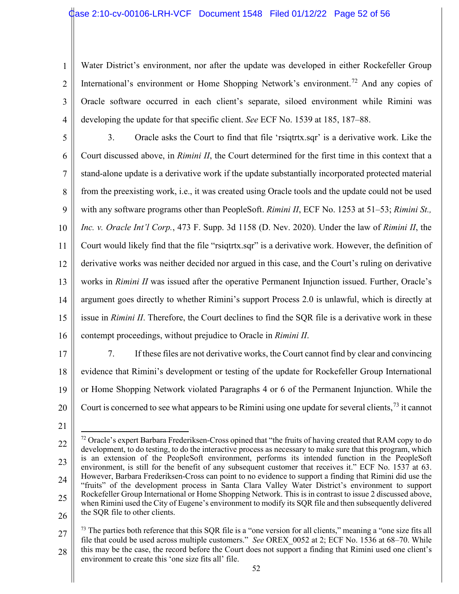1 2 3 4 Water District's environment, nor after the update was developed in either Rockefeller Group International's environment or Home Shopping Network's environment.<sup>72</sup> And any copies of Oracle software occurred in each client's separate, siloed environment while Rimini was developing the update for that specific client. *See* ECF No. 1539 at 185, 187–88.

5 6 7 8 9 10 11 12 13 14 15 16 3. Oracle asks the Court to find that file 'rsiqtrtx.sqr' is a derivative work. Like the Court discussed above, in *Rimini II*, the Court determined for the first time in this context that a stand-alone update is a derivative work if the update substantially incorporated protected material from the preexisting work, i.e., it was created using Oracle tools and the update could not be used with any software programs other than PeopleSoft. *Rimini II*, ECF No. 1253 at 51–53; *Rimini St., Inc. v. Oracle Int'l Corp.*, 473 F. Supp. 3d 1158 (D. Nev. 2020). Under the law of *Rimini II*, the Court would likely find that the file "rsiqtrtx.sqr" is a derivative work. However, the definition of derivative works was neither decided nor argued in this case, and the Court's ruling on derivative works in *Rimini II* was issued after the operative Permanent Injunction issued. Further, Oracle's argument goes directly to whether Rimini's support Process 2.0 is unlawful, which is directly at issue in *Rimini II*. Therefore, the Court declines to find the SQR file is a derivative work in these contempt proceedings, without prejudice to Oracle in *Rimini II*.

17

18 19 20 7. If these files are not derivative works, the Court cannot find by clear and convincing evidence that Rimini's development or testing of the update for Rockefeller Group International or Home Shopping Network violated Paragraphs 4 or 6 of the Permanent Injunction. While the Court is concerned to see what appears to be Rimini using one update for several clients,  $73$  it cannot

<sup>22</sup> 23 24 25 26  $72$  Oracle's expert Barbara Frederiksen-Cross opined that "the fruits of having created that RAM copy to do development, to do testing, to do the interactive process as necessary to make sure that this program, which is an extension of the PeopleSoft environment, performs its intended function in the PeopleSoft environment, is still for the benefit of any subsequent customer that receives it." ECF No. 1537 at 63. However, Barbara Frederiksen-Cross can point to no evidence to support a finding that Rimini did use the "fruits" of the development process in Santa Clara Valley Water District's environment to support Rockefeller Group International or Home Shopping Network. This is in contrast to issue 2 discussed above, when Rimini used the City of Eugene's environment to modify its SQR file and then subsequently delivered the SQR file to other clients.

<sup>27</sup> 28  $73$  The parties both reference that this SQR file is a "one version for all clients," meaning a "one size fits all file that could be used across multiple customers." *See* OREX\_0052 at 2; ECF No. 1536 at 68–70. While this may be the case, the record before the Court does not support a finding that Rimini used one client's environment to create this 'one size fits all' file.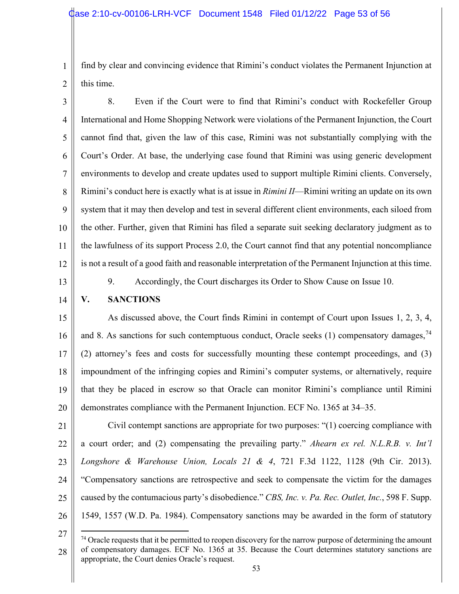1 find by clear and convincing evidence that Rimini's conduct violates the Permanent Injunction at this time.

2

3 4 5 6 7 8 9 10 11 12 8. Even if the Court were to find that Rimini's conduct with Rockefeller Group International and Home Shopping Network were violations of the Permanent Injunction, the Court cannot find that, given the law of this case, Rimini was not substantially complying with the Court's Order. At base, the underlying case found that Rimini was using generic development environments to develop and create updates used to support multiple Rimini clients. Conversely, Rimini's conduct here is exactly what is at issue in *Rimini II*—Rimini writing an update on its own system that it may then develop and test in several different client environments, each siloed from the other. Further, given that Rimini has filed a separate suit seeking declaratory judgment as to the lawfulness of its support Process 2.0, the Court cannot find that any potential noncompliance is not a result of a good faith and reasonable interpretation of the Permanent Injunction at this time.

13

9. Accordingly, the Court discharges its Order to Show Cause on Issue 10.

### 14

#### **V. SANCTIONS**

15 16 17 18 19 20 As discussed above, the Court finds Rimini in contempt of Court upon Issues 1, 2, 3, 4, and 8. As sanctions for such contemptuous conduct, Oracle seeks  $(1)$  compensatory damages,<sup>74</sup> (2) attorney's fees and costs for successfully mounting these contempt proceedings, and (3) impoundment of the infringing copies and Rimini's computer systems, or alternatively, require that they be placed in escrow so that Oracle can monitor Rimini's compliance until Rimini demonstrates compliance with the Permanent Injunction. ECF No. 1365 at 34–35.

21 22 23 24 25 26 Civil contempt sanctions are appropriate for two purposes: "(1) coercing compliance with a court order; and (2) compensating the prevailing party." *Ahearn ex rel. N.L.R.B. v. Int'l Longshore & Warehouse Union, Locals 21 & 4*, 721 F.3d 1122, 1128 (9th Cir. 2013). "Compensatory sanctions are retrospective and seek to compensate the victim for the damages caused by the contumacious party's disobedience." *CBS, Inc. v. Pa. Rec. Outlet, Inc.*, 598 F. Supp. 1549, 1557 (W.D. Pa. 1984). Compensatory sanctions may be awarded in the form of statutory

<sup>27</sup> 28  $74$  Oracle requests that it be permitted to reopen discovery for the narrow purpose of determining the amount of compensatory damages. ECF No. 1365 at 35. Because the Court determines statutory sanctions are appropriate, the Court denies Oracle's request.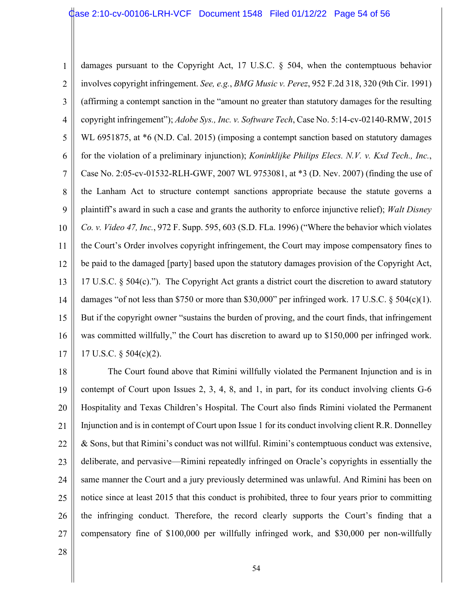1 2 3 4 5 6 7 8 9 10 11 12 13 14 15 16 17 damages pursuant to the Copyright Act, 17 U.S.C. § 504, when the contemptuous behavior involves copyright infringement. *See, e.g.*, *BMG Music v. Perez*, 952 F.2d 318, 320 (9th Cir. 1991) (affirming a contempt sanction in the "amount no greater than statutory damages for the resulting copyright infringement"); *Adobe Sys., Inc. v. Software Tech*, Case No. 5:14-cv-02140-RMW, 2015 WL 6951875, at  $*6$  (N.D. Cal. 2015) (imposing a contempt sanction based on statutory damages for the violation of a preliminary injunction); *Koninklijke Philips Elecs. N.V. v. Kxd Tech., Inc.*, Case No. 2:05-cv-01532-RLH-GWF, 2007 WL 9753081, at \*3 (D. Nev. 2007) (finding the use of the Lanham Act to structure contempt sanctions appropriate because the statute governs a plaintiff's award in such a case and grants the authority to enforce injunctive relief); *Walt Disney Co. v. Video 47, Inc.*, 972 F. Supp. 595, 603 (S.D. FLa. 1996) ("Where the behavior which violates the Court's Order involves copyright infringement, the Court may impose compensatory fines to be paid to the damaged [party] based upon the statutory damages provision of the Copyright Act, 17 U.S.C. § 504(c)."). The Copyright Act grants a district court the discretion to award statutory damages "of not less than \$750 or more than \$30,000" per infringed work. 17 U.S.C. § 504(c)(1). But if the copyright owner "sustains the burden of proving, and the court finds, that infringement was committed willfully," the Court has discretion to award up to \$150,000 per infringed work. 17 U.S.C. § 504(c)(2).

18 19 20 21 22 23 24 25 26 27 The Court found above that Rimini willfully violated the Permanent Injunction and is in contempt of Court upon Issues 2, 3, 4, 8, and 1, in part, for its conduct involving clients G-6 Hospitality and Texas Children's Hospital. The Court also finds Rimini violated the Permanent Injunction and is in contempt of Court upon Issue 1 for its conduct involving client R.R. Donnelley & Sons, but that Rimini's conduct was not willful. Rimini's contemptuous conduct was extensive, deliberate, and pervasive—Rimini repeatedly infringed on Oracle's copyrights in essentially the same manner the Court and a jury previously determined was unlawful. And Rimini has been on notice since at least 2015 that this conduct is prohibited, three to four years prior to committing the infringing conduct. Therefore, the record clearly supports the Court's finding that a compensatory fine of \$100,000 per willfully infringed work, and \$30,000 per non-willfully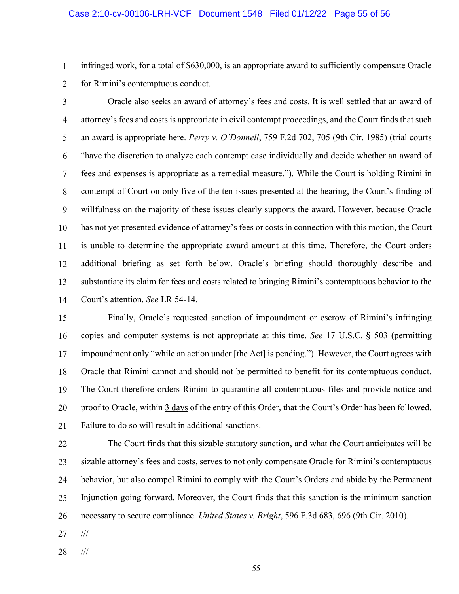infringed work, for a total of \$630,000, is an appropriate award to sufficiently compensate Oracle for Rimini's contemptuous conduct.

2

1

3 4 5 6 7 8 9 10 11 12 13 14 Oracle also seeks an award of attorney's fees and costs. It is well settled that an award of attorney's fees and costs is appropriate in civil contempt proceedings, and the Court finds that such an award is appropriate here. *Perry v. O'Donnell*, 759 F.2d 702, 705 (9th Cir. 1985) (trial courts "have the discretion to analyze each contempt case individually and decide whether an award of fees and expenses is appropriate as a remedial measure."). While the Court is holding Rimini in contempt of Court on only five of the ten issues presented at the hearing, the Court's finding of willfulness on the majority of these issues clearly supports the award. However, because Oracle has not yet presented evidence of attorney's fees or costs in connection with this motion, the Court is unable to determine the appropriate award amount at this time. Therefore, the Court orders additional briefing as set forth below. Oracle's briefing should thoroughly describe and substantiate its claim for fees and costs related to bringing Rimini's contemptuous behavior to the Court's attention. *See* LR 54-14.

15 16 17 18 19 20 21 Finally, Oracle's requested sanction of impoundment or escrow of Rimini's infringing copies and computer systems is not appropriate at this time. *See* 17 U.S.C. § 503 (permitting impoundment only "while an action under [the Act] is pending."). However, the Court agrees with Oracle that Rimini cannot and should not be permitted to benefit for its contemptuous conduct. The Court therefore orders Rimini to quarantine all contemptuous files and provide notice and proof to Oracle, within 3 days of the entry of this Order, that the Court's Order has been followed. Failure to do so will result in additional sanctions.

22 23 24 25 26 The Court finds that this sizable statutory sanction, and what the Court anticipates will be sizable attorney's fees and costs, serves to not only compensate Oracle for Rimini's contemptuous behavior, but also compel Rimini to comply with the Court's Orders and abide by the Permanent Injunction going forward. Moreover, the Court finds that this sanction is the minimum sanction necessary to secure compliance. *United States v. Bright*, 596 F.3d 683, 696 (9th Cir. 2010).

27 ///

28 ///